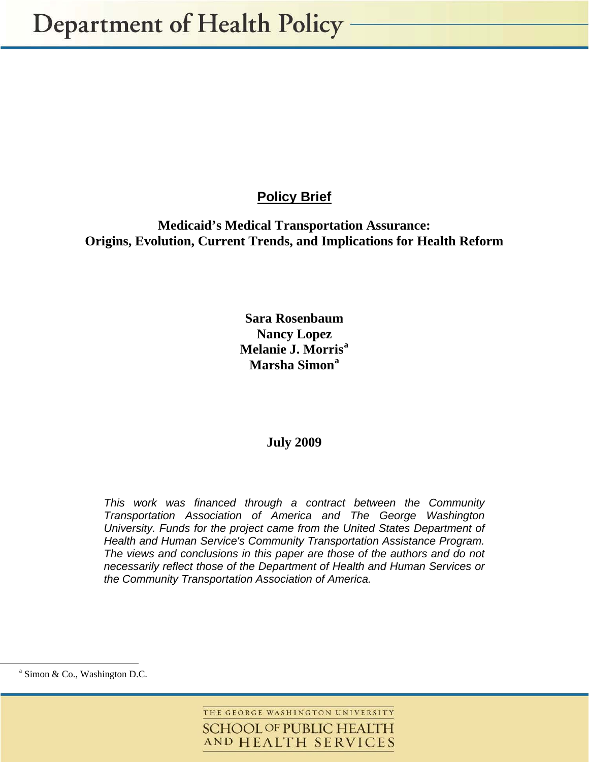# **Policy Brief**

**Medicaid's Medical Transportation Assurance: Origins, Evolution, Current Trends, and Implications for Health Reform** 

# **Sara Rosenbaum Nancy Lopez Melanie J. Morri[s](#page-0-1)[a](#page-0-0) Marsha Simon[a](#page-0-1)**

## **July 2009**

*This work was financed through a contract between the Community Transportation Association of America and The George Washington University. Funds for the project came from the United States Department of Health and Human Service's Community Transportation Assistance Program. The views and conclusions in this paper are those of the authors and do not necessarily reflect those of the Department of Health and Human Services or the Community Transportation Association of America.*

 $\overline{a}$ 

THE GEORGE WASHINGTON UNIVERSITY **SCHOOL OF PUBLIC HEALTH** AND HEALTH SERVICES

<span id="page-0-1"></span><span id="page-0-0"></span><sup>&</sup>lt;sup>a</sup> Simon & Co., Washington D.C.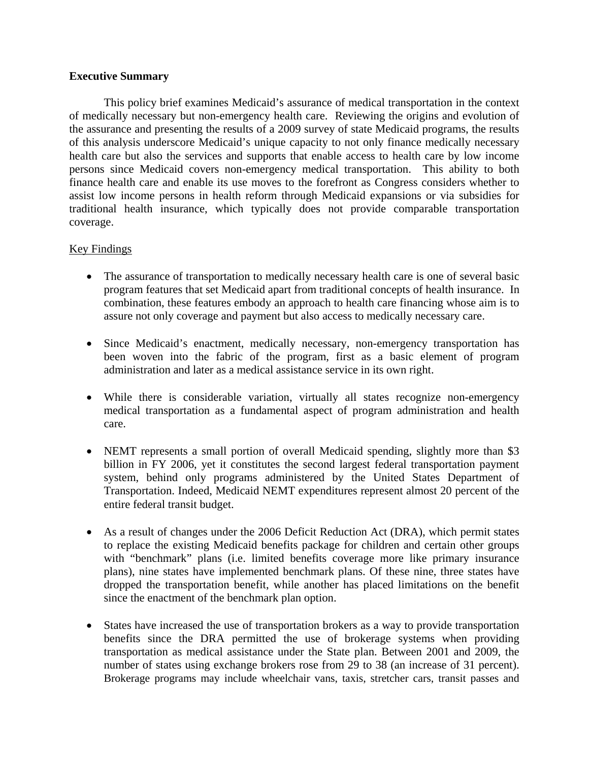## **Executive Summary**

This policy brief examines Medicaid's assurance of medical transportation in the context of medically necessary but non-emergency health care. Reviewing the origins and evolution of the assurance and presenting the results of a 2009 survey of state Medicaid programs, the results of this analysis underscore Medicaid's unique capacity to not only finance medically necessary health care but also the services and supports that enable access to health care by low income persons since Medicaid covers non-emergency medical transportation. This ability to both finance health care and enable its use moves to the forefront as Congress considers whether to assist low income persons in health reform through Medicaid expansions or via subsidies for traditional health insurance, which typically does not provide comparable transportation coverage.

## Key Findings

- The assurance of transportation to medically necessary health care is one of several basic program features that set Medicaid apart from traditional concepts of health insurance. In combination, these features embody an approach to health care financing whose aim is to assure not only coverage and payment but also access to medically necessary care.
- Since Medicaid's enactment, medically necessary, non-emergency transportation has been woven into the fabric of the program, first as a basic element of program administration and later as a medical assistance service in its own right.
- While there is considerable variation, virtually all states recognize non-emergency medical transportation as a fundamental aspect of program administration and health care.
- NEMT represents a small portion of overall Medicaid spending, slightly more than \$3 billion in FY 2006, yet it constitutes the second largest federal transportation payment system, behind only programs administered by the United States Department of Transportation. Indeed, Medicaid NEMT expenditures represent almost 20 percent of the entire federal transit budget.
- As a result of changes under the 2006 Deficit Reduction Act (DRA), which permit states to replace the existing Medicaid benefits package for children and certain other groups with "benchmark" plans (i.e. limited benefits coverage more like primary insurance plans), nine states have implemented benchmark plans. Of these nine, three states have dropped the transportation benefit, while another has placed limitations on the benefit since the enactment of the benchmark plan option.
- States have increased the use of transportation brokers as a way to provide transportation benefits since the DRA permitted the use of brokerage systems when providing transportation as medical assistance under the State plan. Between 2001 and 2009, the number of states using exchange brokers rose from 29 to 38 (an increase of 31 percent). Brokerage programs may include wheelchair vans, taxis, stretcher cars, transit passes and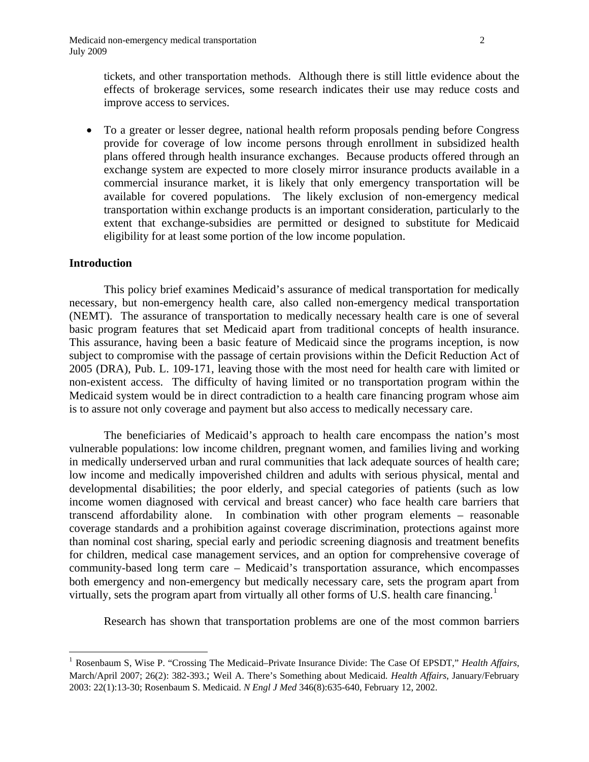tickets, and other transportation methods. Although there is still little evidence about the effects of brokerage services, some research indicates their use may reduce costs and improve access to services.

 To a greater or lesser degree, national health reform proposals pending before Congress provide for coverage of low income persons through enrollment in subsidized health plans offered through health insurance exchanges. Because products offered through an exchange system are expected to more closely mirror insurance products available in a commercial insurance market, it is likely that only emergency transportation will be available for covered populations. The likely exclusion of non-emergency medical transportation within exchange products is an important consideration, particularly to the extent that exchange-subsidies are permitted or designed to substitute for Medicaid eligibility for at least some portion of the low income population.

#### **Introduction**

 $\overline{a}$ 

 This policy brief examines Medicaid's assurance of medical transportation for medically necessary, but non-emergency health care, also called non-emergency medical transportation (NEMT). The assurance of transportation to medically necessary health care is one of several basic program features that set Medicaid apart from traditional concepts of health insurance. This assurance, having been a basic feature of Medicaid since the programs inception, is now subject to compromise with the passage of certain provisions within the Deficit Reduction Act of 2005 (DRA), Pub. L. 109-171, leaving those with the most need for health care with limited or non-existent access. The difficulty of having limited or no transportation program within the Medicaid system would be in direct contradiction to a health care financing program whose aim is to assure not only coverage and payment but also access to medically necessary care.

 The beneficiaries of Medicaid's approach to health care encompass the nation's most vulnerable populations: low income children, pregnant women, and families living and working in medically underserved urban and rural communities that lack adequate sources of health care; low income and medically impoverished children and adults with serious physical, mental and developmental disabilities; the poor elderly, and special categories of patients (such as low income women diagnosed with cervical and breast cancer) who face health care barriers that transcend affordability alone. In combination with other program elements – reasonable coverage standards and a prohibition against coverage discrimination, protections against more than nominal cost sharing, special early and periodic screening diagnosis and treatment benefits for children, medical case management services, and an option for comprehensive coverage of community-based long term care – Medicaid's transportation assurance, which encompasses both emergency and non-emergency but medically necessary care, sets the program apart from virtually, sets the program apart from virtually all other forms of U.S. health care financing.<sup>[1](#page-2-0)</sup>

Research has shown that transportation problems are one of the most common barriers

<span id="page-2-0"></span><sup>1</sup> Rosenbaum S, Wise P. "Crossing The Medicaid–Private Insurance Divide: The Case Of EPSDT," *Health Affairs*, March/April 2007; 26(2): 382-393.; Weil A. There's Something about Medicaid*. Health Affairs*, January/February 2003: 22(1):13-30; Rosenbaum S. Medicaid. *N Engl J Med* 346(8):635-640, February 12, 2002.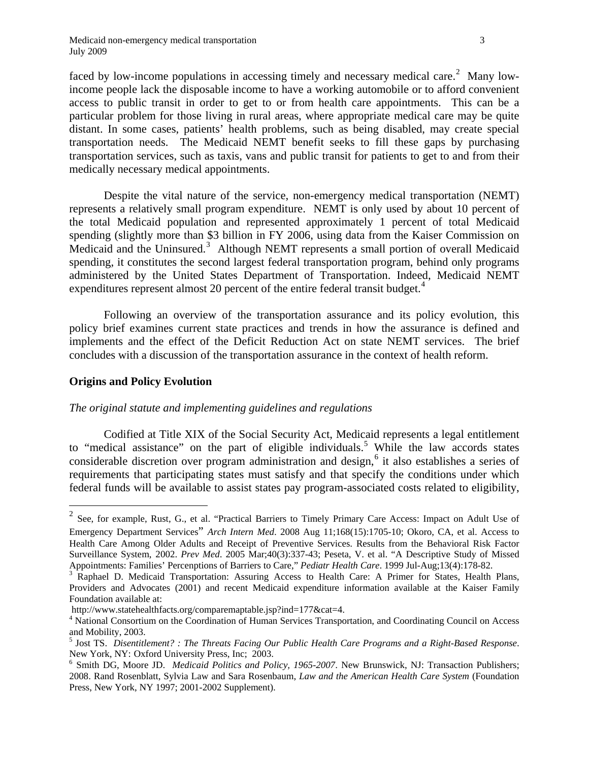faced by low-income populations in accessing timely and necessary medical care.<sup>[2](#page-3-0)</sup> Many lowincome people lack the disposable income to have a working automobile or to afford convenient access to public transit in order to get to or from health care appointments. This can be a particular problem for those living in rural areas, where appropriate medical care may be quite distant. In some cases, patients' health problems, such as being disabled, may create special transportation needs. The Medicaid NEMT benefit seeks to fill these gaps by purchasing transportation services, such as taxis, vans and public transit for patients to get to and from their medically necessary medical appointments.

Despite the vital nature of the service, non-emergency medical transportation (NEMT) represents a relatively small program expenditure. NEMT is only used by about 10 percent of the total Medicaid population and represented approximately 1 percent of total Medicaid spending (slightly more than \$3 billion in FY 2006, using data from the Kaiser Commission on Medicaid and the Uninsured.<sup>[3](#page-3-1)</sup> Although NEMT represents a small portion of overall Medicaid spending, it constitutes the second largest federal transportation program, behind only programs administered by the United States Department of Transportation. Indeed, Medicaid NEMT expenditures represent almost 20 percent of the entire federal transit budget.<sup>[4](#page-3-2)</sup>

Following an overview of the transportation assurance and its policy evolution, this policy brief examines current state practices and trends in how the assurance is defined and implements and the effect of the Deficit Reduction Act on state NEMT services. The brief concludes with a discussion of the transportation assurance in the context of health reform.

## **Origins and Policy Evolution**

 $\overline{a}$ 

## *The original statute and implementing guidelines and regulations*

Codified at Title XIX of the Social Security Act, Medicaid represents a legal entitlement to "medical assistance" on the part of eligible individuals.<sup>[5](#page-3-3)</sup> While the law accords states considerable discretion over program administration and design,<sup>[6](#page-3-4)</sup> it also establishes a series of requirements that participating states must satisfy and that specify the conditions under which federal funds will be available to assist states pay program-associated costs related to eligibility,

<span id="page-3-0"></span><sup>2</sup> See, for example, Rust, G., et al. "Practical Barriers to Timely Primary Care Access: Impact on Adult Use of Emergency Department Services" *Arch Intern Med*. 2008 Aug 11;168(15):1705-10; Okoro, CA, et al. Access to Health Care Among Older Adults and Receipt of Preventive Services. Results from the Behavioral Risk Factor Surveillance System, 2002. *Prev Med*. 2005 Mar;40(3):337-43; Peseta, V. et al. "A Descriptive Study of Missed Appointments: Families' Percenptions of Barriers to Care," *Pediatr Health Care*. 1999 Jul-Aug;13(4):178-82. 3

<span id="page-3-1"></span><sup>&</sup>lt;sup>3</sup> Raphael D. Medicaid Transportation: Assuring Access to Health Care: A Primer for States, Health Plans, Providers and Advocates (2001) and recent Medicaid expenditure information available at the Kaiser Family Foundation available at:

http://www.statehealthfacts.org/comparemaptable.jsp?ind=177&cat=4.

<span id="page-3-2"></span>National Consortium on the Coordination of Human Services Transportation, and Coordinating Council on Access and Mobility, 2003.

<span id="page-3-3"></span><sup>5</sup> Jost TS. *Disentitlement? : The Threats Facing Our Public Health Care Programs and a Right-Based Response*. New York, NY: Oxford University Press, Inc; 2003.<br><sup>6</sup> Smith DG, Moore JD. *Medicaid Politics and Policy, 1965-2007*. New Brunswick, NJ: Transaction Publishers;

<span id="page-3-4"></span><sup>2008.</sup> Rand Rosenblatt, Sylvia Law and Sara Rosenbaum, *Law and the American Health Care System* (Foundation Press, New York, NY 1997; 2001-2002 Supplement).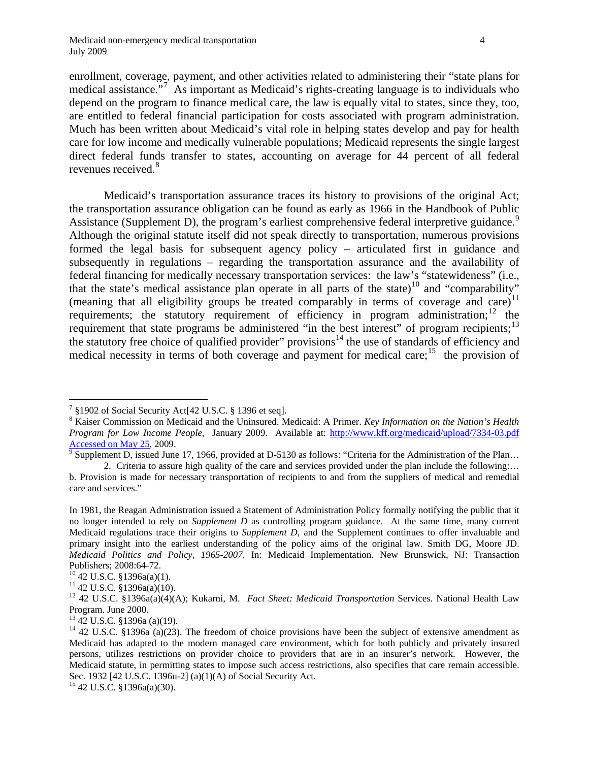enrollment, coverage, payment, and other activities related to administering their "state plans for medical assistance."<sup>[7](#page-4-0)</sup> As important as Medicaid's rights-creating language is to individuals who depend on the program to finance medical care, the law is equally vital to states, since they, too, are entitled to federal financial participation for costs associated with program administration. Much has been written about Medicaid's vital role in helping states develop and pay for health care for low income and medically vulnerable populations; Medicaid represents the single largest direct federal funds transfer to states, accounting on average for 44 percent of all federal revenues received.<sup>[8](#page-4-1)</sup>

 Medicaid's transportation assurance traces its history to provisions of the original Act; the transportation assurance obligation can be found as early as 1966 in the Handbook of Public Assistance (Supplement D), the program's earliest comprehensive federal interpretive guidance.<sup>[9](#page-4-2)</sup> Although the original statute itself did not speak directly to transportation, numerous provisions formed the legal basis for subsequent agency policy – articulated first in guidance and subsequently in regulations – regarding the transportation assurance and the availability of federal financing for medically necessary transportation services: the law's "statewideness" (i.e., that the state's medical assistance plan operate in all parts of the state)<sup>[10](#page-4-3)</sup> and "comparability" (meaning that all eligibility groups be treated comparably in terms of coverage and care)<sup>[11](#page-4-4)</sup> requirements; the statutory requirement of efficiency in program administration;  $12$  the requirement that state programs be administered "in the best interest" of program recipients;<sup>[13](#page-4-6)</sup> the statutory free choice of qualified provider" provisions<sup>[14](#page-4-7)</sup> the use of standards of efficiency and medical necessity in terms of both coverage and payment for medical care;  $^{15}$  $^{15}$  $^{15}$  the provision of

<sup>&</sup>lt;sup>7</sup> §1902 of Social Security Act[42 U.S.C. § 1396 et seq].

<span id="page-4-1"></span><span id="page-4-0"></span><sup>8</sup> Kaiser Commission on Medicaid and the Uninsured. Medicaid: A Primer. *Key Information on the Nation's Health Program for Low Income People,* January 2009. Available at: http://www.kff.org/medicaid/upload/7334-03.pdf  $\frac{20 \text{ m}}{9 \text{ S}} \times 2009.$ 

Supplement D, issued June 17, 1966, provided at D-5130 as follows: "Criteria for the Administration of the Plan…

<span id="page-4-2"></span> <sup>2.</sup> Criteria to assure high quality of the care and services provided under the plan include the following:… b. Provision is made for necessary transportation of recipients to and from the suppliers of medical and remedial care and services."

In 1981, the Reagan Administration issued a Statement of Administration Policy formally notifying the public that it no longer intended to rely on *Supplement D* as controlling program guidance. At the same time, many current Medicaid regulations trace their origins to *Supplement D,* and the Supplement continues to offer invaluable and primary insight into the earliest understanding of the policy aims of the original law. Smith DG, Moore JD. *Medicaid Politics and Policy, 1965-2007*. In: Medicaid Implementation. New Brunswick, NJ: Transaction Publishers; 2008:64-72.<br><sup>10</sup> 42 U.S.C. §1396a(a)(1).

<span id="page-4-4"></span><span id="page-4-3"></span> $11$  42 U.S.C. §1396a(a)(10).

<span id="page-4-5"></span><sup>12 42</sup> U.S.C. §1396a(a)(4)(A); Kukarni, M. *Fact Sheet: Medicaid Transportation* Services. National Health Law Program. June 2000.

<sup>13 42</sup> U.S.C. §1396a (a)(19).

<span id="page-4-7"></span><span id="page-4-6"></span><sup>&</sup>lt;sup>14</sup> 42 U.S.C. §1396a (a)(23). The freedom of choice provisions have been the subject of extensive amendment as Medicaid has adapted to the modern managed care environment, which for both publicly and privately insured persons, utilizes restrictions on provider choice to providers that are in an insurer's network. However, the Medicaid statute, in permitting states to impose such access restrictions, also specifies that care remain accessible. Sec. 1932 [42 U.S.C. 1396u-2] (a)(1)(A) of Social Security Act. <sup>15</sup> 42 U.S.C. §1396a(a)(30).

<span id="page-4-8"></span>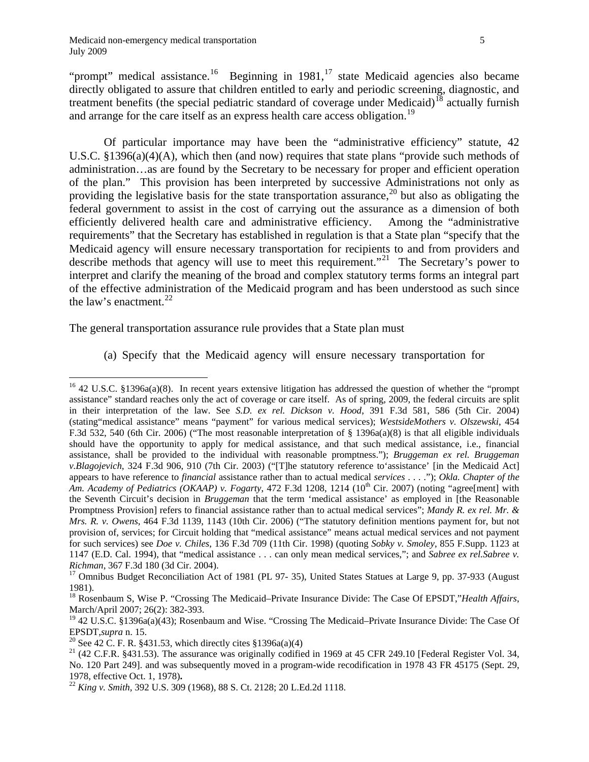1

Of particular importance may have been the "administrative efficiency" statute, 42 U.S.C.  $\S 1396(a)(4)(A)$ , which then (and now) requires that state plans "provide such methods of administration…as are found by the Secretary to be necessary for proper and efficient operation of the plan." This provision has been interpreted by successive Administrations not only as providing the legislative basis for the state transportation assurance,  $^{20}$  but also as obligating the federal government to assist in the cost of carrying out the assurance as a dimension of both efficiently delivered health care and administrative efficiency. Among the "administrative requirements" that the Secretary has established in regulation is that a State plan "specify that the Medicaid agency will ensure necessary transportation for recipients to and from providers and describe methods that agency will use to meet this requirement."<sup>[21](#page-5-5)</sup> The Secretary's power to interpret and clarify the meaning of the broad and complex statutory terms forms an integral part of the effective administration of the Medicaid program and has been understood as such since the law's enactment.[22](#page-5-6)

The general transportation assurance rule provides that a State plan must

(a) Specify that the Medicaid agency will ensure necessary transportation for

<span id="page-5-0"></span><sup>&</sup>lt;sup>16</sup> 42 U.S.C. §1396a(a)(8). In recent years extensive litigation has addressed the question of whether the "prompt assistance" standard reaches only the act of coverage or care itself. As of spring, 2009, the federal circuits are split in their interpretation of the law. See *S.D. ex rel. Dickson v. Hood*, 391 F.3d 581, 586 (5th Cir. 2004) (stating"medical assistance" means "payment" for various medical services); *WestsideMothers v. Olszewski*, 454 F.3d 532, 540 (6th Cir. 2006) ("The most reasonable interpretation of § 1396a(a)(8) is that all eligible individuals should have the opportunity to apply for medical assistance, and that such medical assistance, i.e., financial assistance, shall be provided to the individual with reasonable promptness."); *Bruggeman ex rel. Bruggeman v.Blagojevich*, 324 F.3d 906, 910 (7th Cir. 2003) ("[T]he statutory reference to'assistance' [in the Medicaid Act] appears to have reference to *financial* assistance rather than to actual medical *services* . . . ."); *Okla. Chapter of the Am. Academy of Pediatrics (OKAAP) v. Fogarty*, 472 F.3d 1208, 1214 (10<sup>th</sup> Cir. 2007) (noting "agree[ment] with the Seventh Circuit's decision in *Bruggeman* that the term 'medical assistance' as employed in [the Reasonable Promptness Provision] refers to financial assistance rather than to actual medical services"; *Mandy R. ex rel. Mr. & Mrs. R. v. Owens*, 464 F.3d 1139, 1143 (10th Cir. 2006) ("The statutory definition mentions payment for, but not provision of, services; for Circuit holding that "medical assistance" means actual medical services and not payment for such services) see *Doe v. Chiles*, 136 F.3d 709 (11th Cir. 1998) (quoting *Sobky v. Smoley*, 855 F.Supp. 1123 at 1147 (E.D. Cal. 1994), that "medical assistance . . . can only mean medical services,"; and *Sabree ex rel.Sabree v. Richman*, 367 F.3d 180 (3d Cir. 2004).<br><sup>17</sup> Omnibus Budget Reconciliation Act of 1981 (PL 97- 35), United States Statues at Large 9, pp. 37-933 (August

<span id="page-5-1"></span><sup>1981).</sup> 

<span id="page-5-2"></span><sup>18</sup> Rosenbaum S, Wise P. "Crossing The Medicaid–Private Insurance Divide: The Case Of EPSDT,"*Health Affairs*, March/April 2007; 26(2): 382-393.

<span id="page-5-3"></span> $19$  42 U.S.C. §1396a(a)(43); Rosenbaum and Wise. "Crossing The Medicaid–Private Insurance Divide: The Case Of EPSDT, *supra* n. 15.<br><sup>20</sup> See 42 C. F. R. §431.53, which directly cites §1396a(a)(4)

<span id="page-5-4"></span>

<span id="page-5-5"></span> $21$  (42 C.F.R. §431.53). The assurance was originally codified in 1969 at 45 CFR 249.10 [Federal Register Vol. 34, No. 120 Part 249]. and was subsequently moved in a program-wide recodification in 1978 43 FR 45175 (Sept. 29,

<span id="page-5-6"></span><sup>1978,</sup> effective Oct. 1, 1978)**.** <sup>22</sup> *King v. Smith,* 392 U.S. 309 (1968), 88 S. Ct. 2128; 20 L.Ed.2d 1118.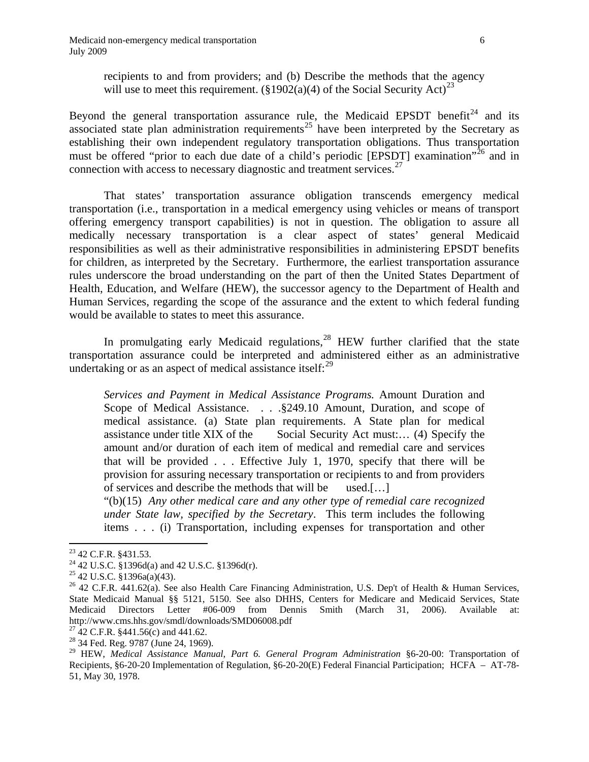recipients to and from providers; and (b) Describe the methods that the agency will use to meet this requirement. (§1902(a)(4) of the Social Security Act)<sup>[23](#page-6-0)</sup>

Beyond the general transportation assurance rule, the Medicaid EPSDT benefit<sup>[24](#page-6-1)</sup> and its associated state plan administration requirements<sup>25</sup> have been interpreted by the Secretary as establishing their own independent regulatory transportation obligations. Thus transportation must be offered "prior to each due date of a child's periodic [EPSDT] examination"<sup>[26](#page-6-3)</sup> and in connection with access to necessary diagnostic and treatment services.<sup>[27](#page-6-4)</sup>

 That states' transportation assurance obligation transcends emergency medical transportation (i.e., transportation in a medical emergency using vehicles or means of transport offering emergency transport capabilities) is not in question. The obligation to assure all medically necessary transportation is a clear aspect of states' general Medicaid responsibilities as well as their administrative responsibilities in administering EPSDT benefits for children, as interpreted by the Secretary. Furthermore, the earliest transportation assurance rules underscore the broad understanding on the part of then the United States Department of Health, Education, and Welfare (HEW), the successor agency to the Department of Health and Human Services, regarding the scope of the assurance and the extent to which federal funding would be available to states to meet this assurance.

In promulgating early Medicaid regulations, $28$  HEW further clarified that the state transportation assurance could be interpreted and administered either as an administrative undertaking or as an aspect of medical assistance itself: $^{29}$  $^{29}$  $^{29}$ 

*Services and Payment in Medical Assistance Programs.* Amount Duration and Scope of Medical Assistance. . . .§249.10 Amount, Duration, and scope of medical assistance. (a) State plan requirements. A State plan for medical assistance under title XIX of the Social Security Act must:… (4) Specify the amount and/or duration of each item of medical and remedial care and services that will be provided  $\ldots$ . Effective July 1, 1970, specify that there will be provision for assuring necessary transportation or recipients to and from providers of services and describe the methods that will be used.[…]

"(b)(15) *Any other medical care and any other type of remedial care recognized under State law, specified by the Secretary*. This term includes the following items . . . (i) Transportation, including expenses for transportation and other

<span id="page-6-0"></span><sup>&</sup>lt;sup>23</sup> 42 C.F.R. §431.53.

<span id="page-6-1"></span><sup>24 42</sup> U.S.C. §1396d(a) and 42 U.S.C. §1396d(r).

<span id="page-6-2"></span> $25$  42 U.S.C. §1396a(a)(43).

<span id="page-6-3"></span><sup>&</sup>lt;sup>26</sup> 42 C.F.R. 441.62(a). See also Health Care Financing Administration, U.S. Dep't of Health & Human Services, State Medicaid Manual §§ 5121, 5150. See also DHHS, Centers for Medicare and Medicaid Services, State Medicaid Directors Letter #06-009 from Dennis Smith (March 31, 2006). Available at: http://www.cms.hhs.gov/smdl/downloads/SMD06008.pdf <sup>27</sup> 42 C.F.R. §441.56(c) and 441.62.

<span id="page-6-4"></span>

<span id="page-6-5"></span><sup>&</sup>lt;sup>28</sup> 34 Fed. Reg. 9787 (June 24, 1969).

<span id="page-6-6"></span><sup>29</sup> HEW, *Medical Assistance Manual*, *Part 6. General Program Administration* §6-20-00: Transportation of Recipients, §6-20-20 Implementation of Regulation, §6-20-20(E) Federal Financial Participation; HCFA – AT-78- 51, May 30, 1978.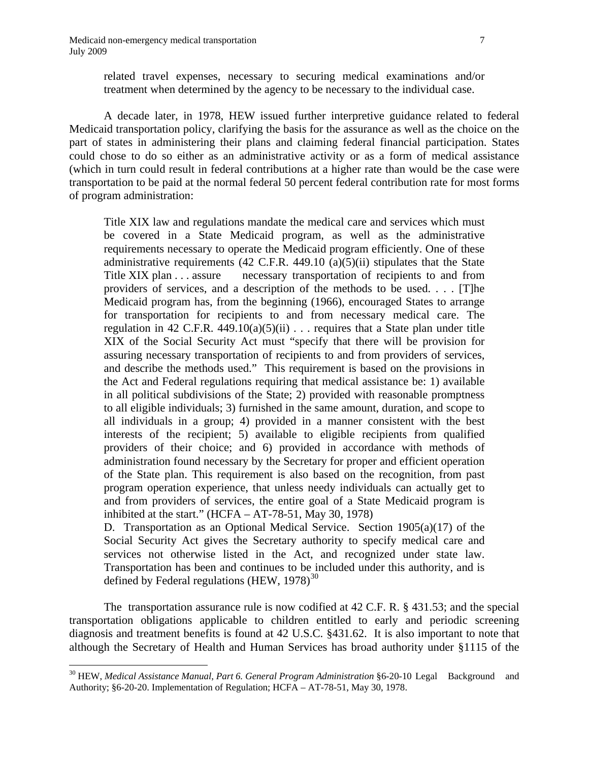1

related travel expenses, necessary to securing medical examinations and/or treatment when determined by the agency to be necessary to the individual case.

A decade later, in 1978, HEW issued further interpretive guidance related to federal Medicaid transportation policy, clarifying the basis for the assurance as well as the choice on the part of states in administering their plans and claiming federal financial participation. States could chose to do so either as an administrative activity or as a form of medical assistance (which in turn could result in federal contributions at a higher rate than would be the case were transportation to be paid at the normal federal 50 percent federal contribution rate for most forms of program administration:

Title XIX law and regulations mandate the medical care and services which must be covered in a State Medicaid program, as well as the administrative requirements necessary to operate the Medicaid program efficiently. One of these administrative requirements  $(42 \text{ C.F.R. } 449.10 \text{ (a)}(5)(ii)$  stipulates that the State Title XIX plan . . . assure necessary transportation of recipients to and from providers of services, and a description of the methods to be used. . . . [T]he Medicaid program has, from the beginning (1966), encouraged States to arrange for transportation for recipients to and from necessary medical care. The regulation in 42 C.F.R. 449.10(a)(5)(ii)  $\ldots$  requires that a State plan under title XIX of the Social Security Act must "specify that there will be provision for assuring necessary transportation of recipients to and from providers of services, and describe the methods used." This requirement is based on the provisions in the Act and Federal regulations requiring that medical assistance be: 1) available in all political subdivisions of the State; 2) provided with reasonable promptness to all eligible individuals; 3) furnished in the same amount, duration, and scope to all individuals in a group; 4) provided in a manner consistent with the best interests of the recipient; 5) available to eligible recipients from qualified providers of their choice; and 6) provided in accordance with methods of administration found necessary by the Secretary for proper and efficient operation of the State plan. This requirement is also based on the recognition, from past program operation experience, that unless needy individuals can actually get to and from providers of services, the entire goal of a State Medicaid program is inhibited at the start."  $(HCFA - AT-78-51, May 30, 1978)$ 

D. Transportation as an Optional Medical Service. Section 1905(a)(17) of the Social Security Act gives the Secretary authority to specify medical care and services not otherwise listed in the Act, and recognized under state law. Transportation has been and continues to be included under this authority, and is defined by Federal regulations (HEW,  $1978$ )<sup>[30](#page-7-0)</sup>

The transportation assurance rule is now codified at 42 C.F. R. § 431.53; and the special transportation obligations applicable to children entitled to early and periodic screening diagnosis and treatment benefits is found at 42 U.S.C. §431.62. It is also important to note that although the Secretary of Health and Human Services has broad authority under §1115 of the

<span id="page-7-0"></span><sup>30</sup> HEW, *Medical Assistance Manual*, *Part 6. General Program Administration* §6-20-10 Legal Background and Authority; §6-20-20. Implementation of Regulation; HCFA – AT-78-51, May 30, 1978.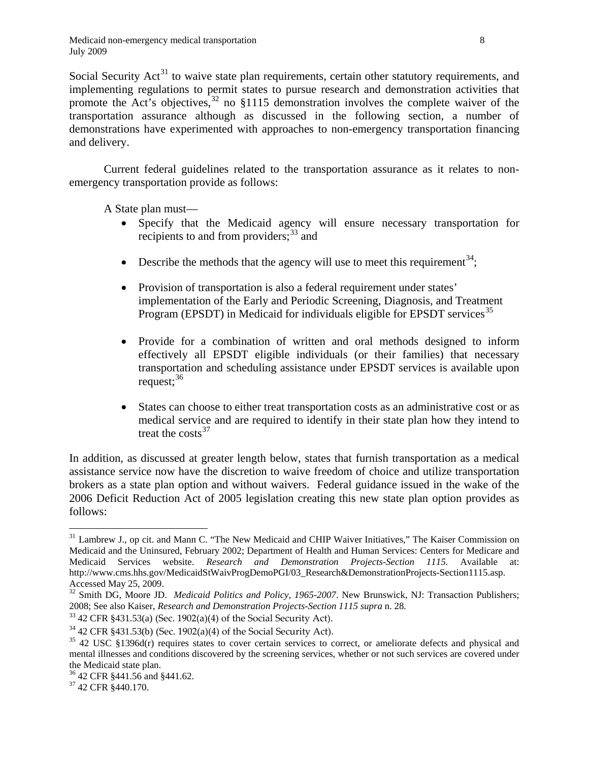Social Security  $Act^{31}$  $Act^{31}$  $Act^{31}$  to waive state plan requirements, certain other statutory requirements, and implementing regulations to permit states to pursue research and demonstration activities that promote the Act's objectives, $32$  no §1115 demonstration involves the complete waiver of the transportation assurance although as discussed in the following section, a number of demonstrations have experimented with approaches to non-emergency transportation financing and delivery.

Current federal guidelines related to the transportation assurance as it relates to nonemergency transportation provide as follows:

A State plan must—

- Specify that the Medicaid agency will ensure necessary transportation for recipients to and from providers;<sup>33</sup> and
- $\bullet$  Describe the methods that the agency will use to meet this requirement<sup>34</sup>;
- Provision of transportation is also a federal requirement under states' implementation of the Early and Periodic Screening, Diagnosis, and Treatment Program (EPSDT) in Medicaid for individuals eligible for EPSDT services<sup>[35](#page-8-4)</sup>
- Provide for a combination of written and oral methods designed to inform effectively all EPSDT eligible individuals (or their families) that necessary transportation and scheduling assistance under EPSDT services is available upon request;  $36$
- States can choose to either treat transportation costs as an administrative cost or as medical service and are required to identify in their state plan how they intend to treat the  $costs<sup>37</sup>$  $costs<sup>37</sup>$  $costs<sup>37</sup>$

In addition, as discussed at greater length below, states that furnish transportation as a medical assistance service now have the discretion to waive freedom of choice and utilize transportation brokers as a state plan option and without waivers. Federal guidance issued in the wake of the 2006 Deficit Reduction Act of 2005 legislation creating this new state plan option provides as follows:

<span id="page-8-0"></span> $\overline{a}$ <sup>31</sup> Lambrew J., op cit. and Mann C. "The New Medicaid and CHIP Waiver Initiatives," The Kaiser Commission on Medicaid and the Uninsured, February 2002; Department of Health and Human Services: Centers for Medicare and Medicaid Services website. *Research and Demonstration Projects-Section 1115.* Available at: http://www.cms.hhs.gov/MedicaidStWaivProgDemoPGI/03\_Research&DemonstrationProjects-Section1115.asp. Accessed May 25, 2009.

<span id="page-8-1"></span><sup>&</sup>lt;sup>32</sup> Smith DG, Moore JD. *Medicaid Politics and Policy, 1965-2007*. New Brunswick, NJ: Transaction Publishers; 2008; See also Kaiser, *Research and Demonstration Projects-Section 1115 supra* n. 28*.*

<span id="page-8-3"></span><span id="page-8-2"></span><sup>&</sup>lt;sup>33</sup> 42 CFR §431.53(a) (Sec. 1902(a)(4) of the Social Security Act).<br><sup>34</sup> 42 CFR §431.53(b) (Sec. 1902(a)(4) of the Social Security Act).

<span id="page-8-4"></span> $35$  42 USC §1396d(r) requires states to cover certain services to correct, or ameliorate defects and physical and mental illnesses and conditions discovered by the screening services, whether or not such services are covered under the Medicaid state plan.

<span id="page-8-5"></span><sup>36 42</sup> CFR §441.56 and §441.62.

<span id="page-8-6"></span><sup>37 42</sup> CFR §440.170.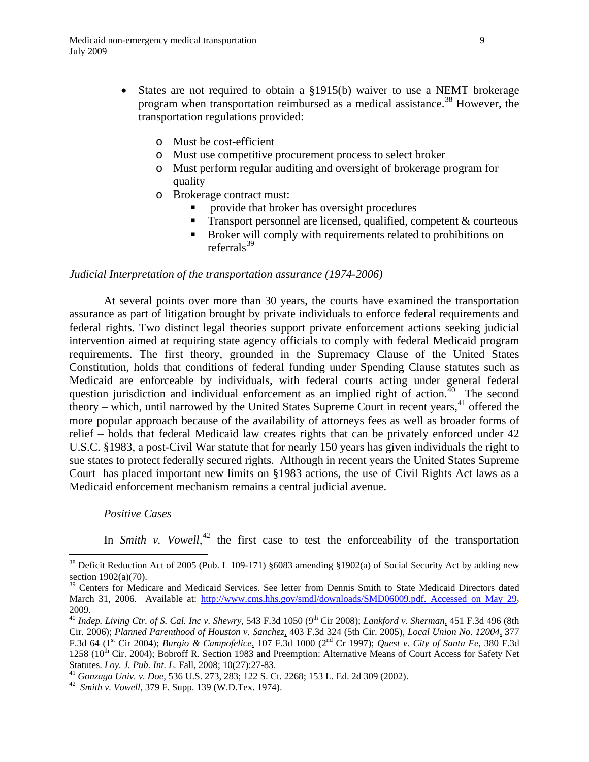- States are not required to obtain a §1915(b) waiver to use a NEMT brokerage program when transportation reimbursed as a medical assistance.<sup>38</sup> However, the transportation regulations provided:
	- o Must be cost-efficient
	- o Must use competitive procurement process to select broker
	- o Must perform regular auditing and oversight of brokerage program for quality
	- o Brokerage contract must:
		- provide that broker has oversight procedures
		- Transport personnel are licensed, qualified, competent & courteous
		- Broker will comply with requirements related to prohibitions on referrals $39$

## *Judicial Interpretation of the transportation assurance (1974-2006)*

At several points over more than 30 years, the courts have examined the transportation assurance as part of litigation brought by private individuals to enforce federal requirements and federal rights. Two distinct legal theories support private enforcement actions seeking judicial intervention aimed at requiring state agency officials to comply with federal Medicaid program requirements. The first theory, grounded in the Supremacy Clause of the United States Constitution, holds that conditions of federal funding under Spending Clause statutes such as Medicaid are enforceable by individuals, with federal courts acting under general federal question jurisdiction and individual enforcement as an implied right of action.<sup>[40](#page-9-2)</sup> The second theory – which, until narrowed by the United States Supreme Court in recent years,<sup>[41](#page-9-3)</sup> offered the more popular approach because of the availability of attorneys fees as well as broader forms of relief – holds that federal Medicaid law creates rights that can be privately enforced under 42 U.S.C. §1983, a post-Civil War statute that for nearly 150 years has given individuals the right to sue states to protect federally secured rights. Although in recent years the United States Supreme Court has placed important new limits on §1983 actions, the use of Civil Rights Act laws as a Medicaid enforcement mechanism remains a central judicial avenue.

#### *Positive Cases*

 $\overline{a}$ 

In *Smith v. Vowell*,  $42$  the first case to test the enforceability of the transportation

<span id="page-9-4"></span><span id="page-9-3"></span>Statutes. *Loy. J. Pub. Int. L.* Fall, 2008; 10(27):27-83. 41 *Gonzaga Univ. v. Doe*, 536 U.S. 273, 283; 122 S. Ct. 2268; 153 L. Ed. 2d 309 (2002). 42 *Smith v. Vowell,* 379 F. Supp. 139 (W.D.Tex. 1974).

<span id="page-9-0"></span><sup>&</sup>lt;sup>38</sup> Deficit Reduction Act of 2005 (Pub. L 109-171) §6083 amending §1902(a) of Social Security Act by adding new section 1902(a)(70).

<span id="page-9-1"></span><sup>&</sup>lt;sup>39</sup> Centers for Medicare and Medicaid Services. See letter from Dennis Smith to State Medicaid Directors dated March 31, 2006. Available at: http://www.cms.hhs.gov/smdl/downloads/SMD06009.pdf. Accessed on May 29, 2009.

<span id="page-9-2"></span><sup>40</sup> *Indep. Living Ctr. of S. Cal. Inc v. Shewry*, 543 F.3d 1050 (9th Cir 2008); *Lankford v. Sherman*, 451 F.3d 496 (8th Cir. 2006); *Planned Parenthood of Houston v. Sanchez*, 403 F.3d 324 (5th Cir. 2005), *Local Union No. 12004*, 377 F.3d 64 (1st Cir 2004); *Burgio & Campofelice*, 107 F.3d 1000 (2nd Cr 1997); *Quest v. City of Santa Fe*, 380 F.3d 1258 ( $10^{th}$  Cir. 2004); Bobroff R. Section 1983 and Preemption: Alternative Means of Court Access for Safety Net Statutes. Loy. J. Pub. Int. L. Fall, 2008; 10(27):27-83.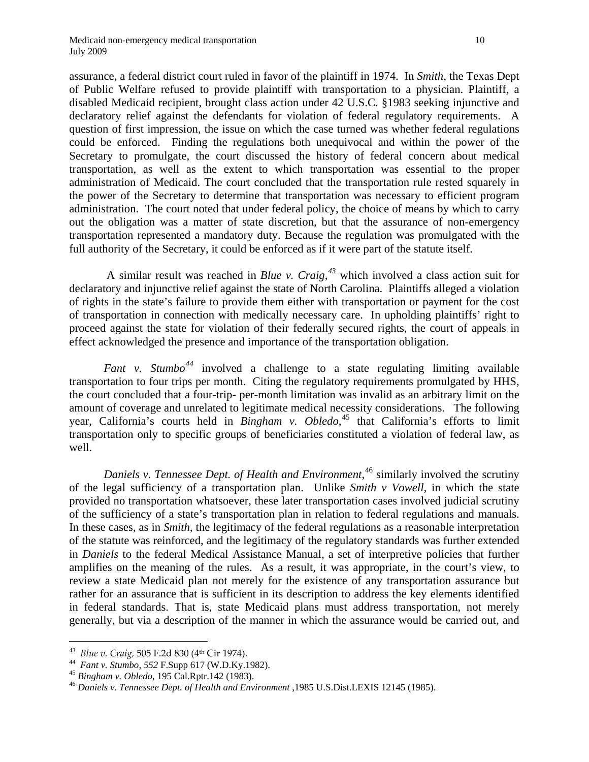assurance, a federal district court ruled in favor of the plaintiff in 1974. In *Smith*, the Texas Dept of Public Welfare refused to provide plaintiff with transportation to a physician. Plaintiff, a disabled Medicaid recipient, brought class action under 42 U.S.C. §1983 seeking injunctive and declaratory relief against the defendants for violation of federal regulatory requirements. A question of first impression, the issue on which the case turned was whether federal regulations could be enforced. Finding the regulations both unequivocal and within the power of the Secretary to promulgate, the court discussed the history of federal concern about medical transportation, as well as the extent to which transportation was essential to the proper administration of Medicaid. The court concluded that the transportation rule rested squarely in the power of the Secretary to determine that transportation was necessary to efficient program administration. The court noted that under federal policy, the choice of means by which to carry out the obligation was a matter of state discretion, but that the assurance of non-emergency transportation represented a mandatory duty. Because the regulation was promulgated with the full authority of the Secretary, it could be enforced as if it were part of the statute itself.

 A similar result was reached in *Blue v. Craig,[43](#page-10-0)* which involved a class action suit for declaratory and injunctive relief against the state of North Carolina. Plaintiffs alleged a violation of rights in the state's failure to provide them either with transportation or payment for the cost of transportation in connection with medically necessary care. In upholding plaintiffs' right to proceed against the state for violation of their federally secured rights, the court of appeals in effect acknowledged the presence and importance of the transportation obligation.

*Fant v. Stumbo[44](#page-10-1)* involved a challenge to a state regulating limiting available transportation to four trips per month. Citing the regulatory requirements promulgated by HHS, the court concluded that a four-trip- per-month limitation was invalid as an arbitrary limit on the amount of coverage and unrelated to legitimate medical necessity considerations. The following year, California's courts held in *Bingham v. Obledo*, [45](#page-10-2) that California's efforts to limit transportation only to specific groups of beneficiaries constituted a violation of federal law, as well.

*Daniels v. Tennessee Dept. of Health and Environment*, [46](#page-10-3) similarly involved the scrutiny of the legal sufficiency of a transportation plan. Unlike *Smith v Vowell,* in which the state provided no transportation whatsoever, these later transportation cases involved judicial scrutiny of the sufficiency of a state's transportation plan in relation to federal regulations and manuals. In these cases, as in *Smith,* the legitimacy of the federal regulations as a reasonable interpretation of the statute was reinforced, and the legitimacy of the regulatory standards was further extended in *Daniels* to the federal Medical Assistance Manual, a set of interpretive policies that further amplifies on the meaning of the rules. As a result, it was appropriate, in the court's view, to review a state Medicaid plan not merely for the existence of any transportation assurance but rather for an assurance that is sufficient in its description to address the key elements identified in federal standards. That is, state Medicaid plans must address transportation, not merely generally, but via a description of the manner in which the assurance would be carried out, and

<span id="page-10-1"></span>

<span id="page-10-3"></span><span id="page-10-2"></span>

<span id="page-10-0"></span><sup>&</sup>lt;sup>43</sup> Blue v. Craig, 505 F.2d 830 (4<sup>th</sup> Cir 1974).<br><sup>44</sup> Fant v. Stumbo, 552 F.Supp 617 (W.D.Ky.1982).<br><sup>45</sup> Bingham v. Obledo, 195 Cal.Rptr.142 (1983).<br><sup>46</sup> Daniels v. Tennessee Dept. of Health and Environment ,1985 U.S.Di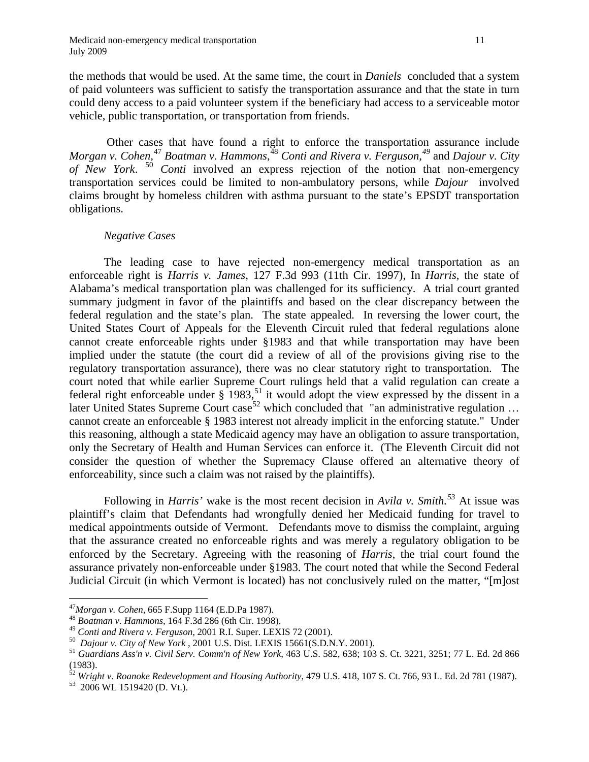the methods that would be used. At the same time, the court in *Daniels* concluded that a system of paid volunteers was sufficient to satisfy the transportation assurance and that the state in turn could deny access to a paid volunteer system if the beneficiary had access to a serviceable motor vehicle, public transportation, or transportation from friends.

 Other cases that have found a right to enforce the transportation assurance include *Morgan v. Cohen*, [47](#page-11-0) *Boatman v. Hammons*, [48](#page-11-1) *Conti and Rivera v. Ferguson,[49](#page-11-2)* and *Dajour v. City of New York*. [50](#page-11-3) *Conti* involved an express rejection of the notion that non-emergency transportation services could be limited to non-ambulatory persons, while *Dajour* involved claims brought by homeless children with asthma pursuant to the state's EPSDT transportation obligations.

## *Negative Cases*

The leading case to have rejected non-emergency medical transportation as an enforceable right is *Harris v. James*, 127 F.3d 993 (11th Cir. 1997), In *Harris,* the state of Alabama's medical transportation plan was challenged for its sufficiency. A trial court granted summary judgment in favor of the plaintiffs and based on the clear discrepancy between the federal regulation and the state's plan. The state appealed. In reversing the lower court, the United States Court of Appeals for the Eleventh Circuit ruled that federal regulations alone cannot create enforceable rights under §1983 and that while transportation may have been implied under the statute (the court did a review of all of the provisions giving rise to the regulatory transportation assurance), there was no clear statutory right to transportation. The court noted that while earlier Supreme Court rulings held that a valid regulation can create a federal right enforceable under  $\S$  1983,<sup>51</sup> it would adopt the view expressed by the dissent in a later United States Supreme Court case<sup>52</sup> which concluded that "an administrative regulation ... cannot create an enforceable § 1983 interest not already implicit in the enforcing statute." Under this reasoning, although a state Medicaid agency may have an obligation to assure transportation, only the Secretary of Health and Human Services can enforce it. (The Eleventh Circuit did not consider the question of whether the Supremacy Clause offered an alternative theory of enforceability, since such a claim was not raised by the plaintiffs).

 Following in *Harris'* wake is the most recent decision in *Avila v. Smith.[53](#page-11-6)* At issue was plaintiff's claim that Defendants had wrongfully denied her Medicaid funding for travel to medical appointments outside of Vermont. Defendants move to dismiss the complaint, arguing that the assurance created no enforceable rights and was merely a regulatory obligation to be enforced by the Secretary. Agreeing with the reasoning of *Harris*, the trial court found the assurance privately non-enforceable under §1983. The court noted that while the Second Federal Judicial Circuit (in which Vermont is located) has not conclusively ruled on the matter, "[m]ost

1

<span id="page-11-2"></span>

<span id="page-11-1"></span><span id="page-11-0"></span><sup>47</sup>*Morgan v. Cohen*, 665 F.Supp 1164 (E.D.Pa 1987). 48 *Boatman v. Hammons,* 164 F.3d 286 (6th Cir. 1998).

<span id="page-11-4"></span><span id="page-11-3"></span><sup>&</sup>lt;sup>50</sup> Dajour v. City of New York , 2001 U.S. Dist. LEXIS 15661(S.D.N.Y. 2001).<br><sup>51</sup> Guardians Ass'n v. Civil Serv. Comm'n of New York, 463 U.S. 582, 638; 103 S. Ct. 3221, 3251; 77 L. Ed. 2d 866 (1983).

<span id="page-11-5"></span><sup>&</sup>lt;sup>52</sup> Wright v. Roanoke Redevelopment and Housing Authority, 479 U.S. 418, 107 S. Ct. 766, 93 L. Ed. 2d 781 (1987).<br><sup>53</sup> 2006 WL 1519420 (D. Vt.).

<span id="page-11-6"></span>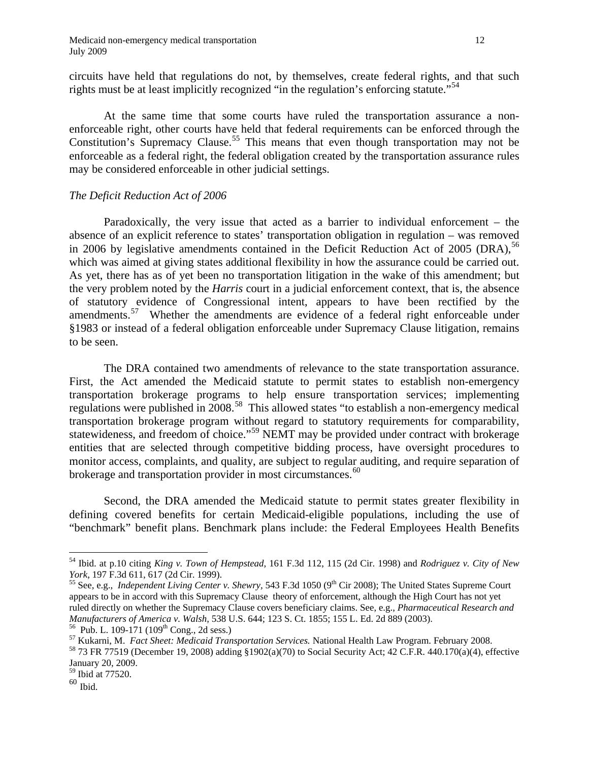circuits have held that regulations do not, by themselves, create federal rights, and that such rights must be at least implicitly recognized "in the regulation's enforcing statute."<sup>54</sup>

 At the same time that some courts have ruled the transportation assurance a nonenforceable right, other courts have held that federal requirements can be enforced through the Constitution's Supremacy Clause.<sup>[55](#page-12-1)</sup> This means that even though transportation may not be enforceable as a federal right, the federal obligation created by the transportation assurance rules may be considered enforceable in other judicial settings.

## *The Deficit Reduction Act of 2006*

 Paradoxically, the very issue that acted as a barrier to individual enforcement – the absence of an explicit reference to states' transportation obligation in regulation – was removed in 2006 by legislative amendments contained in the Deficit Reduction Act of 2005 (DRA),  $^{56}$  $^{56}$  $^{56}$ which was aimed at giving states additional flexibility in how the assurance could be carried out. As yet, there has as of yet been no transportation litigation in the wake of this amendment; but the very problem noted by the *Harris* court in a judicial enforcement context, that is, the absence of statutory evidence of Congressional intent, appears to have been rectified by the amendments.<sup>[57](#page-12-3)</sup> Whether the amendments are evidence of a federal right enforceable under §1983 or instead of a federal obligation enforceable under Supremacy Clause litigation, remains to be seen.

 The DRA contained two amendments of relevance to the state transportation assurance. First, the Act amended the Medicaid statute to permit states to establish non-emergency transportation brokerage programs to help ensure transportation services; implementing regulations were published in 2008.<sup>[58](#page-12-4)</sup> This allowed states "to establish a non-emergency medical transportation brokerage program without regard to statutory requirements for comparability, statewideness, and freedom of choice."<sup>59</sup> NEMT may be provided under contract with brokerage entities that are selected through competitive bidding process, have oversight procedures to monitor access, complaints, and quality, are subject to regular auditing, and require separation of brokerage and transportation provider in most circumstances.<sup>[60](#page-12-6)</sup>

 Second, the DRA amended the Medicaid statute to permit states greater flexibility in defining covered benefits for certain Medicaid-eligible populations, including the use of "benchmark" benefit plans. Benchmark plans include: the Federal Employees Health Benefits

<span id="page-12-0"></span><sup>54</sup> Ibid. at p.10 citing *King v. Town of Hempstead*, 161 F.3d 112, 115 (2d Cir. 1998) and *Rodriguez v. City of New York*, 197 F.3d 611, 617 (2d Cir. 1999).<br><sup>55</sup> See, e.g., *Independent Living Center v. Shewry*, 543 F.3d 1050 (9<sup>th</sup> Cir 2008); The United States Supreme Court

<span id="page-12-1"></span>appears to be in accord with this Supremacy Clause theory of enforcement, although the High Court has not yet ruled directly on whether the Supremacy Clause covers beneficiary claims. See, e.g., *Pharmaceutical Research and* 

<span id="page-12-3"></span><span id="page-12-2"></span><sup>&</sup>lt;sup>56</sup> Pub. L. 109-171 (109<sup>th</sup> Cong., 2d sess.)<br><sup>57</sup> Kukarni, M. *Fact Sheet: Medicaid Transportation Services*. National Health Law Program. February 2008.<br><sup>58</sup> 73 FR 77519 (December 19, 2008) adding §1902(a)(70) to Socia

<span id="page-12-4"></span>January 20, 2009.

<span id="page-12-5"></span><sup>59</sup> Ibid at 77520.

<span id="page-12-6"></span> $60$  Ibid.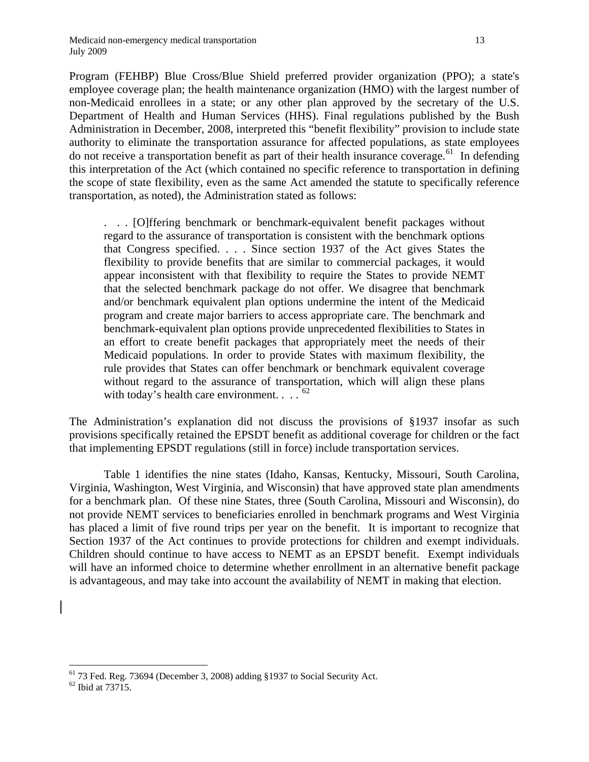Program (FEHBP) Blue Cross/Blue Shield preferred provider organization (PPO); a state's employee coverage plan; the health maintenance organization (HMO) with the largest number of non-Medicaid enrollees in a state; or any other plan approved by the secretary of the U.S. Department of Health and Human Services (HHS). Final regulations published by the Bush Administration in December, 2008, interpreted this "benefit flexibility" provision to include state authority to eliminate the transportation assurance for affected populations, as state employees do not receive a transportation benefit as part of their health insurance coverage.<sup>61</sup> In defending this interpretation of the Act (which contained no specific reference to transportation in defining the scope of state flexibility, even as the same Act amended the statute to specifically reference transportation, as noted), the Administration stated as follows:

. . . [O]ffering benchmark or benchmark-equivalent benefit packages without regard to the assurance of transportation is consistent with the benchmark options that Congress specified. . . . Since section 1937 of the Act gives States the flexibility to provide benefits that are similar to commercial packages, it would appear inconsistent with that flexibility to require the States to provide NEMT that the selected benchmark package do not offer. We disagree that benchmark and/or benchmark equivalent plan options undermine the intent of the Medicaid program and create major barriers to access appropriate care. The benchmark and benchmark-equivalent plan options provide unprecedented flexibilities to States in an effort to create benefit packages that appropriately meet the needs of their Medicaid populations. In order to provide States with maximum flexibility, the rule provides that States can offer benchmark or benchmark equivalent coverage without regard to the assurance of transportation, which will align these plans with today's health care environment.  $\ldots$ <sup>1[62](#page-13-1)</sup>

The Administration's explanation did not discuss the provisions of §1937 insofar as such provisions specifically retained the EPSDT benefit as additional coverage for children or the fact that implementing EPSDT regulations (still in force) include transportation services.

Table 1 identifies the nine states (Idaho, Kansas, Kentucky, Missouri, South Carolina, Virginia, Washington, West Virginia, and Wisconsin) that have approved state plan amendments for a benchmark plan. Of these nine States, three (South Carolina, Missouri and Wisconsin), do not provide NEMT services to beneficiaries enrolled in benchmark programs and West Virginia has placed a limit of five round trips per year on the benefit. It is important to recognize that Section 1937 of the Act continues to provide protections for children and exempt individuals. Children should continue to have access to NEMT as an EPSDT benefit. Exempt individuals will have an informed choice to determine whether enrollment in an alternative benefit package is advantageous, and may take into account the availability of NEMT in making that election.

<span id="page-13-0"></span><sup>&</sup>lt;sup>61</sup> 73 Fed. Reg. 73694 (December 3, 2008) adding §1937 to Social Security Act. <sup>62</sup> Ibid at 73715.

<span id="page-13-1"></span>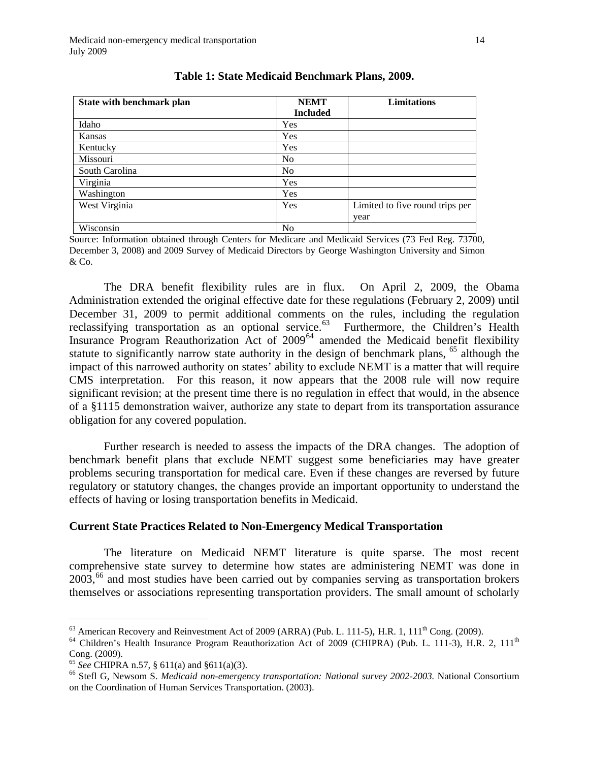| State with benchmark plan | <b>NEMT</b>     | <b>Limitations</b>              |
|---------------------------|-----------------|---------------------------------|
|                           | <b>Included</b> |                                 |
| Idaho                     | Yes             |                                 |
| Kansas                    | Yes             |                                 |
| Kentucky                  | Yes             |                                 |
| Missouri                  | N <sub>0</sub>  |                                 |
| South Carolina            | N <sub>0</sub>  |                                 |
| Virginia                  | Yes             |                                 |
| Washington                | Yes             |                                 |
| West Virginia             | Yes             | Limited to five round trips per |
|                           |                 | year                            |
| Wisconsin                 | N <sub>0</sub>  |                                 |

## **Table 1: State Medicaid Benchmark Plans, 2009.**

Source: Information obtained through Centers for Medicare and Medicaid Services (73 Fed Reg. 73700, December 3, 2008) and 2009 Survey of Medicaid Directors by George Washington University and Simon & Co.

 The DRA benefit flexibility rules are in flux. On April 2, 2009, the Obama Administration extended the original effective date for these regulations (February 2, 2009) until December 31, 2009 to permit additional comments on the rules, including the regulation reclassifying transportation as an optional service.<sup>63</sup> Furthermore, the Children's Health Insurance Program Reauthorization Act of 2009<sup>[64](#page-14-1)</sup> amended the Medicaid benefit flexibility statute to significantly narrow state authority in the design of benchmark plans,  $^{65}$  $^{65}$  $^{65}$  although the impact of this narrowed authority on states' ability to exclude NEMT is a matter that will require CMS interpretation. For this reason, it now appears that the 2008 rule will now require significant revision; at the present time there is no regulation in effect that would, in the absence of a §1115 demonstration waiver, authorize any state to depart from its transportation assurance obligation for any covered population.

Further research is needed to assess the impacts of the DRA changes. The adoption of benchmark benefit plans that exclude NEMT suggest some beneficiaries may have greater problems securing transportation for medical care. Even if these changes are reversed by future regulatory or statutory changes, the changes provide an important opportunity to understand the effects of having or losing transportation benefits in Medicaid.

## **Current State Practices Related to Non-Emergency Medical Transportation**

 The literature on Medicaid NEMT literature is quite sparse. The most recent comprehensive state survey to determine how states are administering NEMT was done in  $2003<sup>66</sup>$  and most studies have been carried out by companies serving as transportation brokers themselves or associations representing transportation providers. The small amount of scholarly

1

<span id="page-14-1"></span><span id="page-14-0"></span><sup>&</sup>lt;sup>63</sup> American Recovery and Reinvestment Act of 2009 (ARRA) (Pub. L. 111-5), H.R. 1, 111<sup>th</sup> Cong. (2009).<br><sup>64</sup> Children's Health Insurance Program Reauthorization Act of 2009 (CHIPRA) (Pub. L. 111-3), H.R. 2, 111<sup>th</sup> Cong. (2009).<br>  $^{65}$  See CHIPRA n.57, § 611(a) and §611(a)(3).

<span id="page-14-2"></span>

<span id="page-14-3"></span><sup>&</sup>lt;sup>66</sup> Stefl G, Newsom S. *Medicaid non-emergency transportation: National survey 2002-2003*. National Consortium on the Coordination of Human Services Transportation. (2003).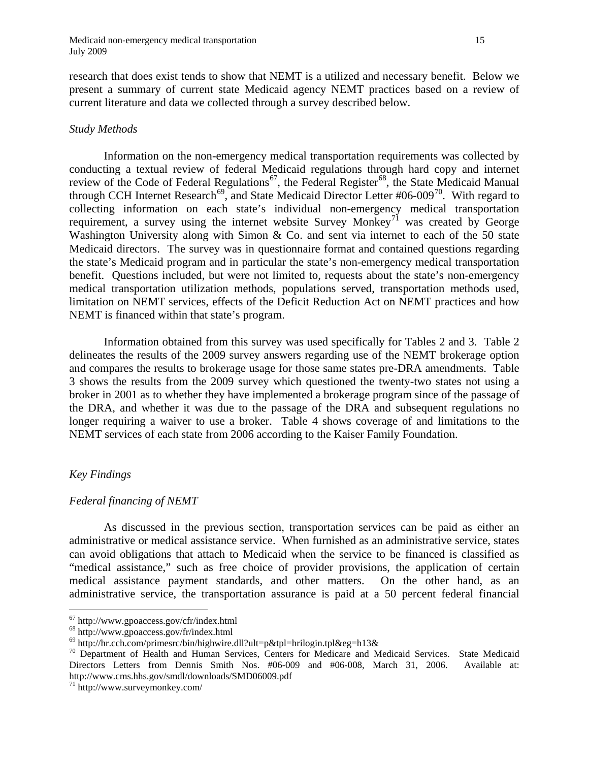research that does exist tends to show that NEMT is a utilized and necessary benefit. Below we present a summary of current state Medicaid agency NEMT practices based on a review of current literature and data we collected through a survey described below.

#### *Study Methods*

 Information on the non-emergency medical transportation requirements was collected by conducting a textual review of federal Medicaid regulations through hard copy and internet review of the Code of Federal Regulations<sup>67</sup>, the Federal Register<sup>68</sup>, the State Medicaid Manual through CCH Internet Research<sup>69</sup>, and State Medicaid Director Letter #06-009<sup>[70](#page-15-3)</sup>. With regard to collecting information on each state's individual non-emergency medical transportation requirement, a survey using the internet website Survey Monkey<sup>[71](#page-15-4)</sup> was created by George Washington University along with Simon & Co. and sent via internet to each of the 50 state Medicaid directors. The survey was in questionnaire format and contained questions regarding the state's Medicaid program and in particular the state's non-emergency medical transportation benefit. Questions included, but were not limited to, requests about the state's non-emergency medical transportation utilization methods, populations served, transportation methods used, limitation on NEMT services, effects of the Deficit Reduction Act on NEMT practices and how NEMT is financed within that state's program.

 Information obtained from this survey was used specifically for Tables 2 and 3. Table 2 delineates the results of the 2009 survey answers regarding use of the NEMT brokerage option and compares the results to brokerage usage for those same states pre-DRA amendments. Table 3 shows the results from the 2009 survey which questioned the twenty-two states not using a broker in 2001 as to whether they have implemented a brokerage program since of the passage of the DRA, and whether it was due to the passage of the DRA and subsequent regulations no longer requiring a waiver to use a broker. Table 4 shows coverage of and limitations to the NEMT services of each state from 2006 according to the Kaiser Family Foundation.

## *Key Findings*

 $\overline{a}$ 

## *Federal financing of NEMT*

 As discussed in the previous section, transportation services can be paid as either an administrative or medical assistance service. When furnished as an administrative service, states can avoid obligations that attach to Medicaid when the service to be financed is classified as "medical assistance," such as free choice of provider provisions, the application of certain medical assistance payment standards, and other matters. On the other hand, as an administrative service, the transportation assurance is paid at a 50 percent federal financial

<span id="page-15-1"></span><span id="page-15-0"></span><sup>&</sup>lt;sup>67</sup> http://www.gpoaccess.gov/cfr/index.html<br>
<sup>68</sup> http://www.gpoaccess.gov/fr/index.html<br>
<sup>69</sup> http://hr.cch.com/primesrc/bin/highwire.dll?ult=p&tpl=hrilogin.tpl&eg=h13&

<span id="page-15-3"></span><span id="page-15-2"></span> $70$  Department of Health and Human Services, Centers for Medicare and Medicaid Services. State Medicaid Directors Letters from Dennis Smith Nos. #06-009 and #06-008, March 31, 2006. Available at: http://www.cms.hhs.gov/smdl/downloads/SMD06009.pdf $^\mathrm{71}$ http://www.surveymonkey.com/

<span id="page-15-4"></span>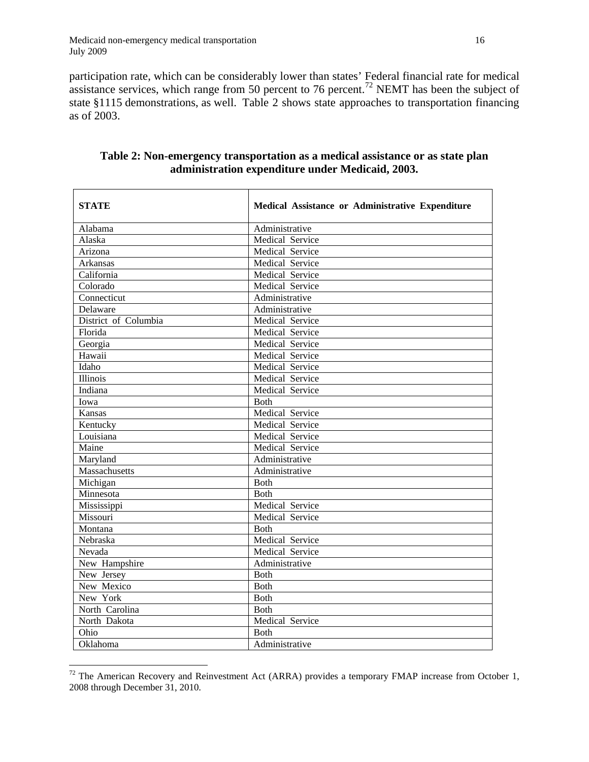$\overline{a}$ 

participation rate, which can be considerably lower than states' Federal financial rate for medical assistance services, which range from 50 percent to 76 percent.<sup>72</sup> NEMT has been the subject of state §1115 demonstrations, as well. Table 2 shows state approaches to transportation financing as of 2003.

| <b>STATE</b>         | Medical Assistance or Administrative Expenditure |
|----------------------|--------------------------------------------------|
| Alabama              | Administrative                                   |
| Alaska               | Medical Service                                  |
| Arizona              | Medical Service                                  |
| <b>Arkansas</b>      | Medical Service                                  |
| California           | Medical Service                                  |
| Colorado             | Medical Service                                  |
| Connecticut          | Administrative                                   |
| Delaware             | Administrative                                   |
| District of Columbia | Medical Service                                  |
| Florida              | Medical Service                                  |
| Georgia              | Medical Service                                  |
| Hawaii               | Medical Service                                  |
| Idaho                | Medical Service                                  |
| Illinois             | Medical Service                                  |
| Indiana              | Medical Service                                  |
| Iowa                 | <b>Both</b>                                      |
| Kansas               | Medical Service                                  |
| Kentucky             | Medical Service                                  |
| Louisiana            | Medical Service                                  |
| Maine                | Medical Service                                  |
| Maryland             | Administrative                                   |
| Massachusetts        | Administrative                                   |
| Michigan             | <b>Both</b>                                      |
| Minnesota            | <b>Both</b>                                      |
| Mississippi          | Medical Service                                  |
| Missouri             | Medical Service                                  |
| Montana              | <b>Both</b>                                      |
| Nebraska             | Medical Service                                  |
| Nevada               | Medical Service                                  |
| New Hampshire        | Administrative                                   |
| New Jersey           | <b>Both</b>                                      |
| New Mexico           | <b>Both</b>                                      |
| New York             | <b>Both</b>                                      |
| North Carolina       | Both                                             |
| North Dakota         | Medical Service                                  |
| Ohio                 | <b>Both</b>                                      |
| Oklahoma             | Administrative                                   |

## **Table 2: Non-emergency transportation as a medical assistance or as state plan administration expenditure under Medicaid, 2003.**

<span id="page-16-0"></span> $72$  The American Recovery and Reinvestment Act (ARRA) provides a temporary FMAP increase from October 1, 2008 through December 31, 2010.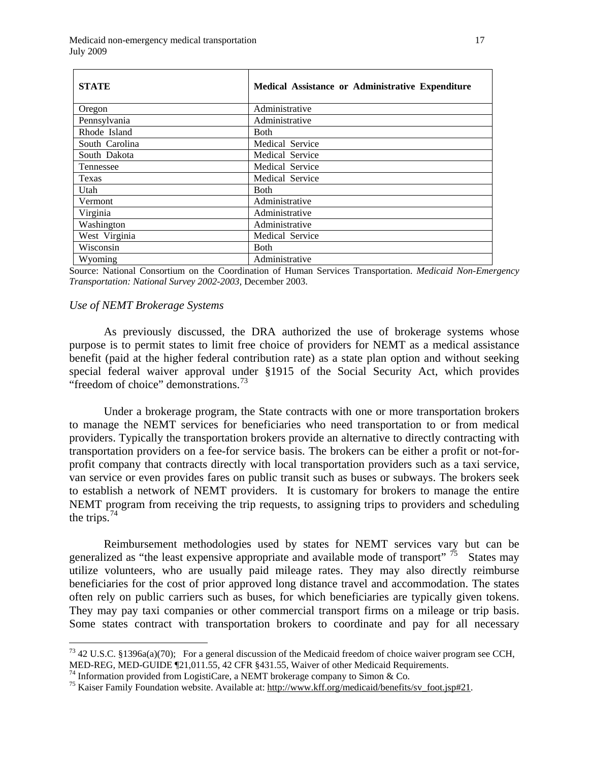| <b>STATE</b>   | Medical Assistance or Administrative Expenditure |
|----------------|--------------------------------------------------|
| Oregon         | Administrative                                   |
| Pennsylvania   | Administrative                                   |
| Rhode Island   | <b>Both</b>                                      |
| South Carolina | Medical Service                                  |
| South Dakota   | Medical Service                                  |
| Tennessee      | Medical Service                                  |
| Texas          | Medical Service                                  |
| Utah           | <b>Both</b>                                      |
| Vermont        | Administrative                                   |
| Virginia       | Administrative                                   |
| Washington     | Administrative                                   |
| West Virginia  | Medical Service                                  |
| Wisconsin      | <b>Both</b>                                      |
| Wyoming        | Administrative                                   |

Source: National Consortium on the Coordination of Human Services Transportation. *Medicaid Non-Emergency Transportation: National Survey 2002-2003,* December 2003.

#### *Use of NEMT Brokerage Systems*

 $\overline{a}$ 

As previously discussed, the DRA authorized the use of brokerage systems whose purpose is to permit states to limit free choice of providers for NEMT as a medical assistance benefit (paid at the higher federal contribution rate) as a state plan option and without seeking special federal waiver approval under §1915 of the Social Security Act, which provides "freedom of choice" demonstrations. $^{73}$ 

Under a brokerage program, the State contracts with one or more transportation brokers to manage the NEMT services for beneficiaries who need transportation to or from medical providers. Typically the transportation brokers provide an alternative to directly contracting with transportation providers on a fee-for service basis. The brokers can be either a profit or not-forprofit company that contracts directly with local transportation providers such as a taxi service, van service or even provides fares on public transit such as buses or subways. The brokers seek to establish a network of NEMT providers. It is customary for brokers to manage the entire NEMT program from receiving the trip requests, to assigning trips to providers and scheduling the trips. $^{74}$ 

 Reimbursement methodologies used by states for NEMT services vary but can be generalized as "the least expensive appropriate and available mode of transport"  $\frac{75}{15}$  $\frac{75}{15}$  $\frac{75}{15}$  States may utilize volunteers, who are usually paid mileage rates. They may also directly reimburse beneficiaries for the cost of prior approved long distance travel and accommodation. The states often rely on public carriers such as buses, for which beneficiaries are typically given tokens. They may pay taxi companies or other commercial transport firms on a mileage or trip basis. Some states contract with transportation brokers to coordinate and pay for all necessary

<span id="page-17-1"></span><sup>74</sup> Information provided from LogistiCare, a NEMT brokerage company to Simon & Co.

<span id="page-17-0"></span> $^{73}$  42 U.S.C. §1396a(a)(70); For a general discussion of the Medicaid freedom of choice waiver program see CCH, MED-REG, MED-GUIDE ¶21,011.55, 42 CFR §431.55, Waiver of other Medicaid Requirements.

<span id="page-17-2"></span><sup>&</sup>lt;sup>75</sup> Kaiser Family Foundation website. Available at: http://www.kff.org/medicaid/benefits/sv\_foot.jsp#21.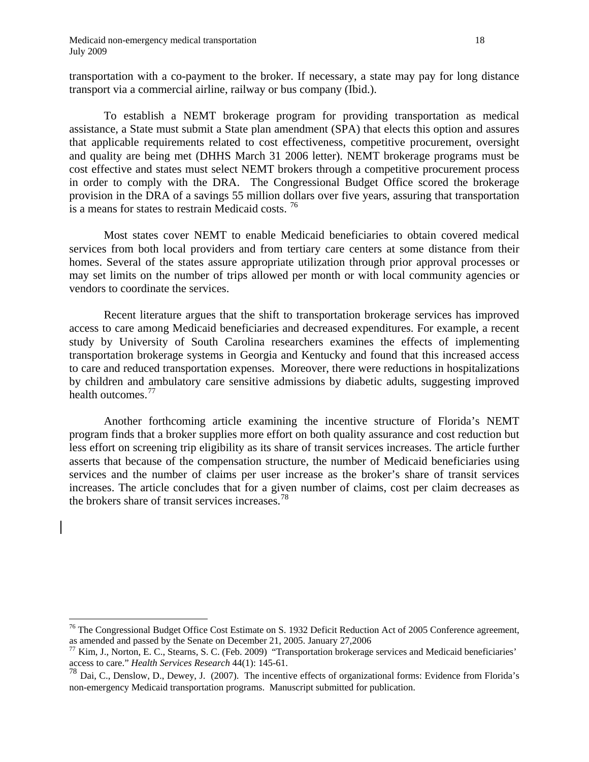$\overline{a}$ 

transportation with a co-payment to the broker. If necessary, a state may pay for long distance transport via a commercial airline, railway or bus company (Ibid.).

 To establish a NEMT brokerage program for providing transportation as medical assistance, a State must submit a State plan amendment (SPA) that elects this option and assures that applicable requirements related to cost effectiveness, competitive procurement, oversight and quality are being met (DHHS March 31 2006 letter). NEMT brokerage programs must be cost effective and states must select NEMT brokers through a competitive procurement process in order to comply with the DRA. The Congressional Budget Office scored the brokerage provision in the DRA of a savings 55 million dollars over five years, assuring that transportation is a means for states to restrain Medicaid costs.  $^{76}$  $^{76}$  $^{76}$ 

 Most states cover NEMT to enable Medicaid beneficiaries to obtain covered medical services from both local providers and from tertiary care centers at some distance from their homes. Several of the states assure appropriate utilization through prior approval processes or may set limits on the number of trips allowed per month or with local community agencies or vendors to coordinate the services.

 Recent literature argues that the shift to transportation brokerage services has improved access to care among Medicaid beneficiaries and decreased expenditures. For example, a recent study by University of South Carolina researchers examines the effects of implementing transportation brokerage systems in Georgia and Kentucky and found that this increased access to care and reduced transportation expenses. Moreover, there were reductions in hospitalizations by children and ambulatory care sensitive admissions by diabetic adults, suggesting improved health outcomes.<sup>77</sup>

 Another forthcoming article examining the incentive structure of Florida's NEMT program finds that a broker supplies more effort on both quality assurance and cost reduction but less effort on screening trip eligibility as its share of transit services increases. The article further asserts that because of the compensation structure, the number of Medicaid beneficiaries using services and the number of claims per user increase as the broker's share of transit services increases. The article concludes that for a given number of claims, cost per claim decreases as the brokers share of transit services increases.<sup>[78](#page-18-2)</sup>

<span id="page-18-0"></span><sup>&</sup>lt;sup>76</sup> The Congressional Budget Office Cost Estimate on S. 1932 Deficit Reduction Act of 2005 Conference agreement, as amended and passed by the Senate on December 21, 2005. January 27,2006

<span id="page-18-1"></span> $^{77}$  Kim, J., Norton, E. C., Stearns, S. C. (Feb. 2009) "Transportation brokerage services and Medicaid beneficiaries' access to care." *Health Services Research* 44(1): 145-61.

<span id="page-18-2"></span><sup>&</sup>lt;sup>78</sup> Dai, C., Denslow, D., Dewey, J. (2007). The incentive effects of organizational forms: Evidence from Florida's non-emergency Medicaid transportation programs. Manuscript submitted for publication.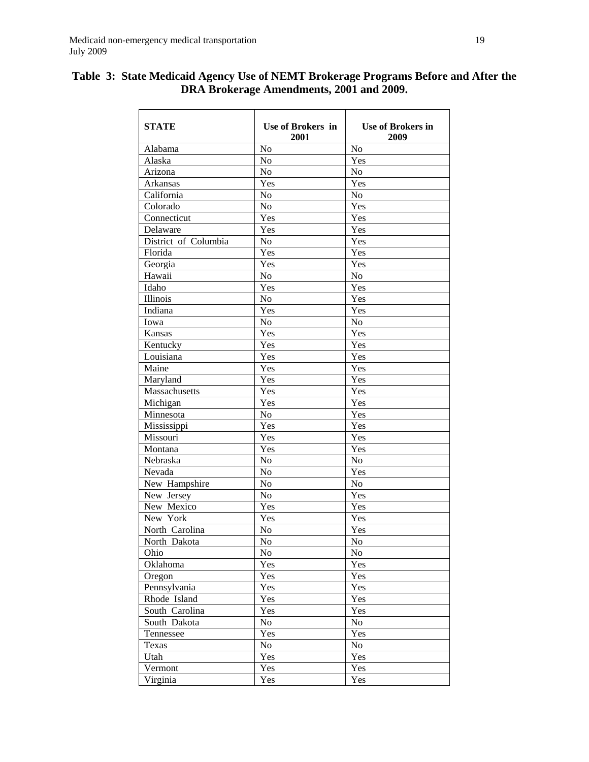| <b>STATE</b>         | <b>Use of Brokers in</b><br>2001 | <b>Use of Brokers in</b><br>2009 |
|----------------------|----------------------------------|----------------------------------|
| Alabama              | No                               | No                               |
| Alaska               | No                               | Yes                              |
| Arizona              | No                               | N <sub>o</sub>                   |
| Arkansas             | Yes                              | Yes                              |
| California           | No                               | No                               |
| Colorado             | No                               | Yes                              |
| Connecticut          | Yes                              | Yes                              |
| Delaware             | Yes                              | Yes                              |
| District of Columbia | No                               | Yes                              |
| Florida              | Yes                              | Yes                              |
| Georgia              | Yes                              | Yes                              |
| Hawaii               | No                               | No                               |
| Idaho                | Yes                              | Yes                              |
| Illinois             | No                               | Yes                              |
| Indiana              | Yes                              | Yes                              |
| Iowa                 | No                               | No                               |
| Kansas               | Yes                              | Yes                              |
| Kentucky             | Yes                              | Yes                              |
| Louisiana            | Yes                              | Yes                              |
| Maine                | Yes                              | Yes                              |
| Maryland             | Yes                              | Yes                              |
| Massachusetts        | Yes                              | Yes                              |
| Michigan             | Yes                              | Yes                              |
| Minnesota            | No                               | Yes                              |
| Mississippi          | Yes                              | Yes                              |
| Missouri             | Yes                              | Yes                              |
| Montana              | Yes                              | Yes                              |
| Nebraska             | No                               | No                               |
| Nevada               | N <sub>o</sub>                   | Yes                              |
| New Hampshire        | No                               | No                               |
| New Jersey           | No                               | Yes                              |
| New Mexico           | Yes                              | Yes                              |
| New York             | Yes                              | Yes                              |
| North Carolina       | No                               | Yes                              |
| North Dakota         | No                               | No                               |
| Ohio                 | N <sub>o</sub>                   | N <sub>o</sub>                   |
| Oklahoma             | Yes                              | Yes                              |
| Oregon               | Yes                              | Yes                              |
| Pennsylvania         | Yes                              | Yes                              |
| Rhode Island         | Yes                              | Yes                              |
| South Carolina       | Yes                              | Yes                              |
| South Dakota         | No                               | No                               |
| Tennessee            | Yes                              | Yes                              |
| Texas                | No                               | No                               |
| Utah                 | Yes                              | Yes                              |
| Vermont              | Yes                              | Yes                              |
| Virginia             | Yes                              | Yes                              |

## **Table 3: State Medicaid Agency Use of NEMT Brokerage Programs Before and After the DRA Brokerage Amendments, 2001 and 2009.**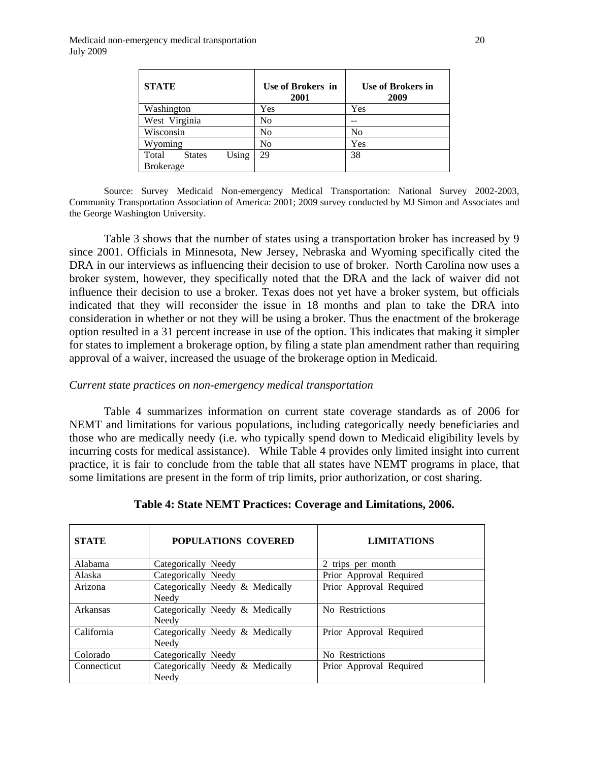| <b>STATE</b>                    | Use of Brokers in<br>2001 | <b>Use of Brokers in</b><br>2009 |
|---------------------------------|---------------------------|----------------------------------|
| Washington                      | Yes                       | Yes                              |
| West Virginia                   | No                        |                                  |
| Wisconsin                       | No                        | No                               |
| Wyoming                         | No                        | Yes                              |
| Using<br>Total<br><b>States</b> | 29                        | 38                               |
| <b>Brokerage</b>                |                           |                                  |

Source: Survey Medicaid Non-emergency Medical Transportation: National Survey 2002-2003, Community Transportation Association of America: 2001; 2009 survey conducted by MJ Simon and Associates and the George Washington University.

Table 3 shows that the number of states using a transportation broker has increased by 9 since 2001. Officials in Minnesota, New Jersey, Nebraska and Wyoming specifically cited the DRA in our interviews as influencing their decision to use of broker. North Carolina now uses a broker system, however, they specifically noted that the DRA and the lack of waiver did not influence their decision to use a broker. Texas does not yet have a broker system, but officials indicated that they will reconsider the issue in 18 months and plan to take the DRA into consideration in whether or not they will be using a broker. Thus the enactment of the brokerage option resulted in a 31 percent increase in use of the option. This indicates that making it simpler for states to implement a brokerage option, by filing a state plan amendment rather than requiring approval of a waiver, increased the usuage of the brokerage option in Medicaid.

#### *Current state practices on non-emergency medical transportation*

 Table 4 summarizes information on current state coverage standards as of 2006 for NEMT and limitations for various populations, including categorically needy beneficiaries and those who are medically needy (i.e. who typically spend down to Medicaid eligibility levels by incurring costs for medical assistance). While Table 4 provides only limited insight into current practice, it is fair to conclude from the table that all states have NEMT programs in place, that some limitations are present in the form of trip limits, prior authorization, or cost sharing.

| <b>STATE</b> | <b>POPULATIONS COVERED</b>               | <b>LIMITATIONS</b>      |
|--------------|------------------------------------------|-------------------------|
| Alabama      | Categorically Needy                      | 2 trips per month       |
| Alaska       | Categorically Needy                      | Prior Approval Required |
| Arizona      | Categorically Needy & Medically<br>Needy | Prior Approval Required |
| Arkansas     | Categorically Needy & Medically<br>Needy | No Restrictions         |
| California   | Categorically Needy & Medically<br>Needy | Prior Approval Required |
| Colorado     | Categorically Needy                      | No Restrictions         |
| Connecticut  | Categorically Needy & Medically<br>Needy | Prior Approval Required |

**Table 4: State NEMT Practices: Coverage and Limitations, 2006.**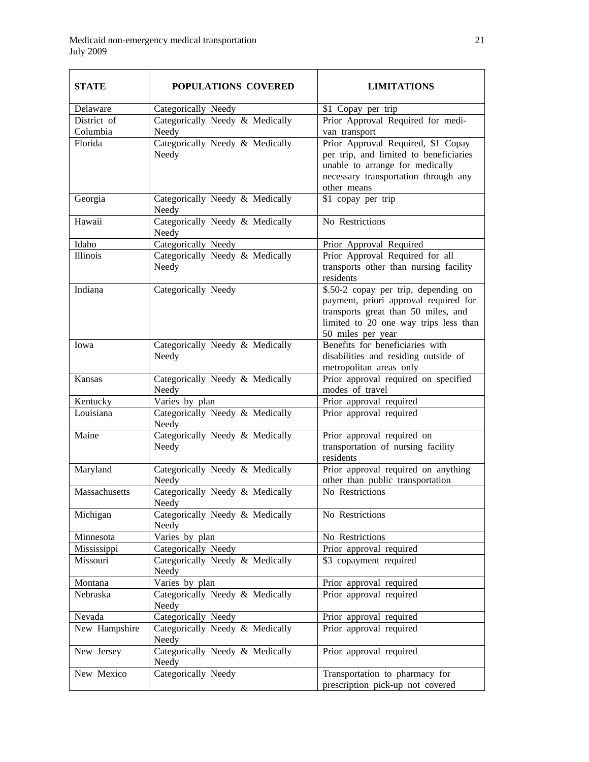| <b>STATE</b>            | <b>POPULATIONS COVERED</b>               | <b>LIMITATIONS</b>                                                                                                                                                                 |
|-------------------------|------------------------------------------|------------------------------------------------------------------------------------------------------------------------------------------------------------------------------------|
| Delaware                | Categorically Needy                      | \$1 Copay per trip                                                                                                                                                                 |
| District of<br>Columbia | Categorically Needy & Medically<br>Needy | Prior Approval Required for medi-<br>van transport                                                                                                                                 |
| Florida                 | Categorically Needy & Medically<br>Needy | Prior Approval Required, \$1 Copay<br>per trip, and limited to beneficiaries<br>unable to arrange for medically<br>necessary transportation through any<br>other means             |
| Georgia                 | Categorically Needy & Medically<br>Needy | \$1 copay per trip                                                                                                                                                                 |
| Hawaii                  | Categorically Needy & Medically<br>Needy | No Restrictions                                                                                                                                                                    |
| Idaho                   | Categorically Needy                      | Prior Approval Required                                                                                                                                                            |
| Illinois                | Categorically Needy & Medically<br>Needy | Prior Approval Required for all<br>transports other than nursing facility<br>residents                                                                                             |
| Indiana                 | Categorically Needy                      | \$.50-2 copay per trip, depending on<br>payment, priori approval required for<br>transports great than 50 miles, and<br>limited to 20 one way trips less than<br>50 miles per year |
| Iowa                    | Categorically Needy & Medically<br>Needy | Benefits for beneficiaries with<br>disabilities and residing outside of<br>metropolitan areas only                                                                                 |
| Kansas                  | Categorically Needy & Medically<br>Needy | Prior approval required on specified<br>modes of travel                                                                                                                            |
| Kentucky                | Varies by plan                           | Prior approval required                                                                                                                                                            |
| Louisiana               | Categorically Needy & Medically<br>Needy | Prior approval required                                                                                                                                                            |
| Maine                   | Categorically Needy & Medically<br>Needy | Prior approval required on<br>transportation of nursing facility<br>residents                                                                                                      |
| Maryland                | Categorically Needy & Medically<br>Needy | Prior approval required on anything<br>other than public transportation                                                                                                            |
| Massachusetts           | Categorically Needy & Medically<br>Needy | No Restrictions                                                                                                                                                                    |
| Michigan                | Categorically Needy & Medically<br>Needy | No Restrictions                                                                                                                                                                    |
| Minnesota               | Varies by plan                           | No Restrictions                                                                                                                                                                    |
| Mississippi             | Categorically Needy                      | Prior approval required                                                                                                                                                            |
| Missouri                | Categorically Needy & Medically<br>Needy | \$3 copayment required                                                                                                                                                             |
| Montana                 | Varies by plan                           | Prior approval required                                                                                                                                                            |
| Nebraska                | Categorically Needy & Medically<br>Needy | Prior approval required                                                                                                                                                            |
| Nevada                  | Categorically Needy                      | Prior approval required                                                                                                                                                            |
| New Hampshire           | Categorically Needy & Medically<br>Needy | Prior approval required                                                                                                                                                            |
| New Jersey              | Categorically Needy & Medically<br>Needy | Prior approval required                                                                                                                                                            |
| New Mexico              | Categorically Needy                      | Transportation to pharmacy for<br>prescription pick-up not covered                                                                                                                 |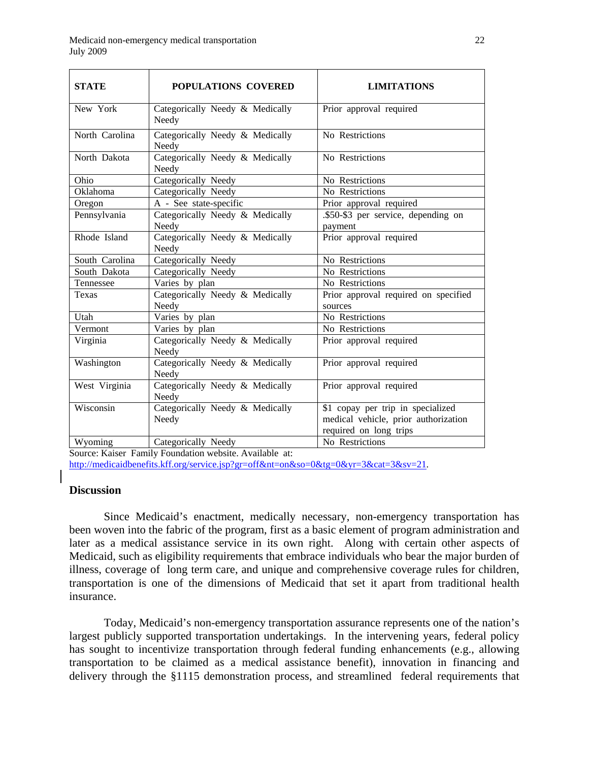| <b>STATE</b>   | <b>POPULATIONS COVERED</b>               | <b>LIMITATIONS</b>                                                                                  |
|----------------|------------------------------------------|-----------------------------------------------------------------------------------------------------|
| New York       | Categorically Needy & Medically<br>Needy | Prior approval required                                                                             |
| North Carolina | Categorically Needy & Medically<br>Needy | No Restrictions                                                                                     |
| North Dakota   | Categorically Needy & Medically<br>Needy | No Restrictions                                                                                     |
| Ohio           | Categorically Needy                      | No Restrictions                                                                                     |
| Oklahoma       | Categorically Needy                      | No Restrictions                                                                                     |
| Oregon         | A - See state-specific                   | Prior approval required                                                                             |
| Pennsylvania   | Categorically Needy & Medically<br>Needy | .\$50-\$3 per service, depending on<br>payment                                                      |
| Rhode Island   | Categorically Needy & Medically<br>Needy | Prior approval required                                                                             |
| South Carolina | Categorically Needy                      | No Restrictions                                                                                     |
| South Dakota   | Categorically Needy                      | No Restrictions                                                                                     |
| Tennessee      | Varies by plan                           | No Restrictions                                                                                     |
| Texas          | Categorically Needy & Medically<br>Needy | Prior approval required on specified<br>sources                                                     |
| Utah           | Varies by plan                           | No Restrictions                                                                                     |
| Vermont        | Varies by plan                           | No Restrictions                                                                                     |
| Virginia       | Categorically Needy & Medically<br>Needy | Prior approval required                                                                             |
| Washington     | Categorically Needy & Medically<br>Needy | Prior approval required                                                                             |
| West Virginia  | Categorically Needy & Medically<br>Needy | Prior approval required                                                                             |
| Wisconsin      | Categorically Needy & Medically<br>Needy | \$1 copay per trip in specialized<br>medical vehicle, prior authorization<br>required on long trips |
| Wyoming        | Categorically Needy                      | No Restrictions                                                                                     |

Source: Kaiser Family Foundation website. Available at:

<http://medicaidbenefits.kff.org/service.jsp?gr=off&nt=on&so=0&tg=0&yr=3&cat=3&sv=21>.

## **Discussion**

 Since Medicaid's enactment, medically necessary, non-emergency transportation has been woven into the fabric of the program, first as a basic element of program administration and later as a medical assistance service in its own right. Along with certain other aspects of Medicaid, such as eligibility requirements that embrace individuals who bear the major burden of illness, coverage of long term care, and unique and comprehensive coverage rules for children, transportation is one of the dimensions of Medicaid that set it apart from traditional health insurance.

Today, Medicaid's non-emergency transportation assurance represents one of the nation's largest publicly supported transportation undertakings. In the intervening years, federal policy has sought to incentivize transportation through federal funding enhancements (e.g., allowing transportation to be claimed as a medical assistance benefit), innovation in financing and delivery through the §1115 demonstration process, and streamlined federal requirements that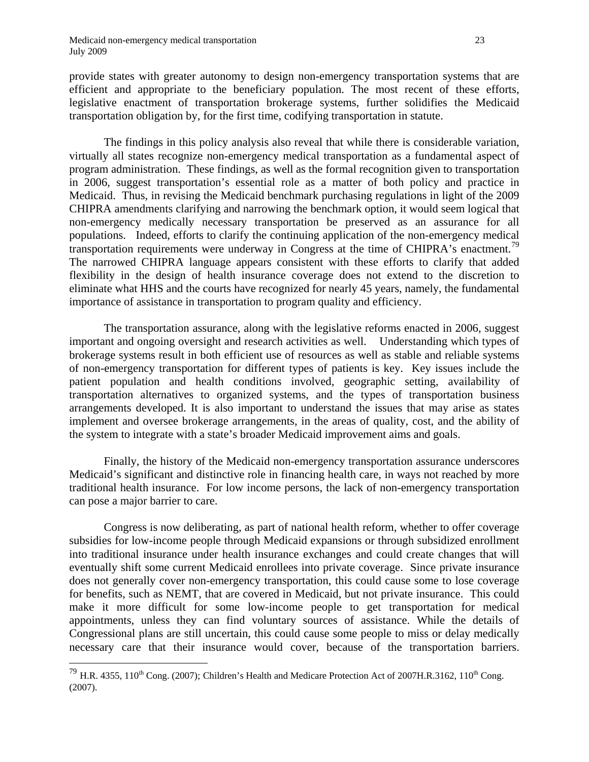$\overline{a}$ 

provide states with greater autonomy to design non-emergency transportation systems that are efficient and appropriate to the beneficiary population. The most recent of these efforts, legislative enactment of transportation brokerage systems, further solidifies the Medicaid transportation obligation by, for the first time, codifying transportation in statute.

The findings in this policy analysis also reveal that while there is considerable variation, virtually all states recognize non-emergency medical transportation as a fundamental aspect of program administration. These findings, as well as the formal recognition given to transportation in 2006, suggest transportation's essential role as a matter of both policy and practice in Medicaid. Thus, in revising the Medicaid benchmark purchasing regulations in light of the 2009 CHIPRA amendments clarifying and narrowing the benchmark option, it would seem logical that non-emergency medically necessary transportation be preserved as an assurance for all populations. Indeed, efforts to clarify the continuing application of the non-emergency medical transportation requirements were underway in Congress at the time of CHIPRA's enactment.<sup>[79](#page-23-0)</sup> The narrowed CHIPRA language appears consistent with these efforts to clarify that added flexibility in the design of health insurance coverage does not extend to the discretion to eliminate what HHS and the courts have recognized for nearly 45 years, namely, the fundamental importance of assistance in transportation to program quality and efficiency.

 The transportation assurance, along with the legislative reforms enacted in 2006, suggest important and ongoing oversight and research activities as well. Understanding which types of brokerage systems result in both efficient use of resources as well as stable and reliable systems of non-emergency transportation for different types of patients is key. Key issues include the patient population and health conditions involved, geographic setting, availability of transportation alternatives to organized systems, and the types of transportation business arrangements developed. It is also important to understand the issues that may arise as states implement and oversee brokerage arrangements, in the areas of quality, cost, and the ability of the system to integrate with a state's broader Medicaid improvement aims and goals.

 Finally, the history of the Medicaid non-emergency transportation assurance underscores Medicaid's significant and distinctive role in financing health care, in ways not reached by more traditional health insurance. For low income persons, the lack of non-emergency transportation can pose a major barrier to care.

 Congress is now deliberating, as part of national health reform, whether to offer coverage subsidies for low-income people through Medicaid expansions or through subsidized enrollment into traditional insurance under health insurance exchanges and could create changes that will eventually shift some current Medicaid enrollees into private coverage. Since private insurance does not generally cover non-emergency transportation, this could cause some to lose coverage for benefits, such as NEMT, that are covered in Medicaid, but not private insurance. This could make it more difficult for some low-income people to get transportation for medical appointments, unless they can find voluntary sources of assistance. While the details of Congressional plans are still uncertain, this could cause some people to miss or delay medically necessary care that their insurance would cover, because of the transportation barriers.

<span id="page-23-0"></span><sup>&</sup>lt;sup>79</sup> H.R. 4355, 110<sup>th</sup> Cong. (2007); Children's Health and Medicare Protection Act of 2007H.R.3162, 110<sup>th</sup> Cong. (2007).